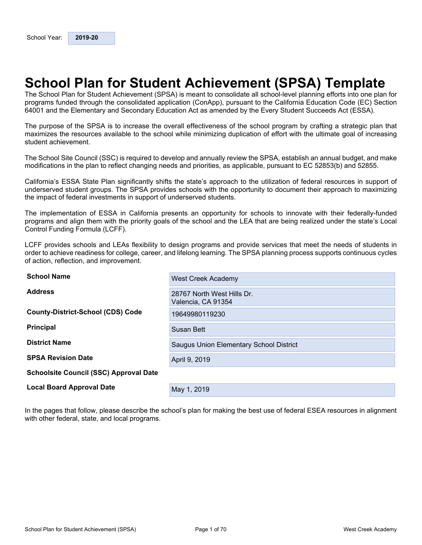# <span id="page-0-0"></span>**School Plan for Student Achievement (SPSA) Template**

The School Plan for Student Achievement (SPSA) is meant to consolidate all school-level planning efforts into one plan for programs funded through the consolidated application (ConApp), pursuant to the California Education Code (EC) Section 64001 and the Elementary and Secondary Education Act as amended by the Every Student Succeeds Act (ESSA).

The purpose of the SPSA is to increase the overall effectiveness of the school program by crafting a strategic plan that maximizes the resources available to the school while minimizing duplication of effort with the ultimate goal of increasing student achievement.

The School Site Council (SSC) is required to develop and annually review the SPSA, establish an annual budget, and make modifications in the plan to reflect changing needs and priorities, as applicable, pursuant to EC 52853(b) and 52855.

California's ESSA State Plan significantly shifts the state's approach to the utilization of federal resources in support of underserved student groups. The SPSA provides schools with the opportunity to document their approach to maximizing the impact of federal investments in support of underserved students.

The implementation of ESSA in California presents an opportunity for schools to innovate with their federally-funded programs and align them with the priority goals of the school and the LEA that are being realized under the state's Local Control Funding Formula (LCFF).

LCFF provides schools and LEAs flexibility to design programs and provide services that meet the needs of students in order to achieve readiness for college, career, and lifelong learning. The SPSA planning process supports continuous cycles of action, reflection, and improvement.

| <b>School Name</b>                            | <b>West Creek Academy</b>                        |
|-----------------------------------------------|--------------------------------------------------|
| <b>Address</b>                                | 28767 North West Hills Dr.<br>Valencia, CA 91354 |
| <b>County-District-School (CDS) Code</b>      | 19649980119230                                   |
| <b>Principal</b>                              | Susan Bett                                       |
| <b>District Name</b>                          | Saugus Union Elementary School District          |
| <b>SPSA Revision Date</b>                     | April 9, 2019                                    |
| <b>Schoolsite Council (SSC) Approval Date</b> |                                                  |
| <b>Local Board Approval Date</b>              | May 1, 2019                                      |

In the pages that follow, please describe the school's plan for making the best use of federal ESEA resources in alignment with other federal, state, and local programs.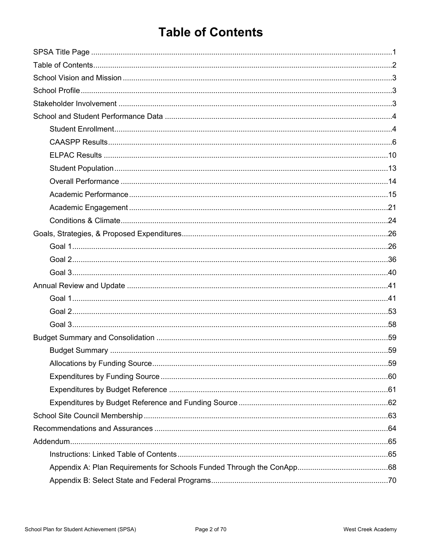# <span id="page-1-0"></span>**Table of Contents**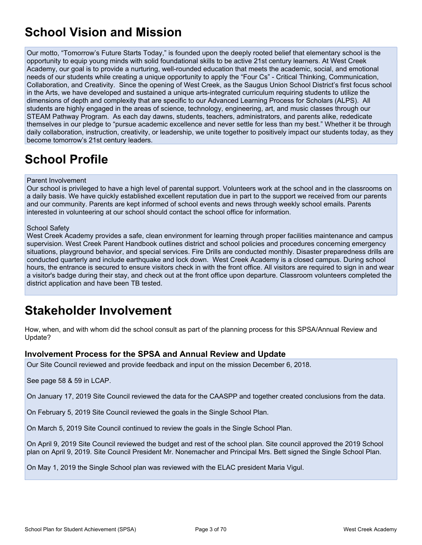# <span id="page-2-0"></span>**School Vision and Mission**

Our motto, "Tomorrow's Future Starts Today," is founded upon the deeply rooted belief that elementary school is the opportunity to equip young minds with solid foundational skills to be active 21st century learners. At West Creek Academy, our goal is to provide a nurturing, well-rounded education that meets the academic, social, and emotional needs of our students while creating a unique opportunity to apply the "Four Cs" - Critical Thinking, Communication, Collaboration, and Creativity. Since the opening of West Creek, as the Saugus Union School District's first focus school in the Arts, we have developed and sustained a unique arts-integrated curriculum requiring students to utilize the dimensions of depth and complexity that are specific to our Advanced Learning Process for Scholars (ALPS). All students are highly engaged in the areas of science, technology, engineering, art, and music classes through our STEAM Pathway Program. As each day dawns, students, teachers, administrators, and parents alike, rededicate themselves in our pledge to "pursue academic excellence and never settle for less than my best." Whether it be through daily collaboration, instruction, creativity, or leadership, we unite together to positively impact our students today, as they become tomorrow's 21st century leaders.

# <span id="page-2-1"></span>**School Profile**

#### Parent Involvement

Our school is privileged to have a high level of parental support. Volunteers work at the school and in the classrooms on a daily basis. We have quickly established excellent reputation due in part to the support we received from our parents and our community. Parents are kept informed of school events and news through weekly school emails. Parents interested in volunteering at our school should contact the school office for information.

#### School Safety

West Creek Academy provides a safe, clean environment for learning through proper facilities maintenance and campus supervision. West Creek Parent Handbook outlines district and school policies and procedures concerning emergency situations, playground behavior, and special services. Fire Drills are conducted monthly. Disaster preparedness drills are conducted quarterly and include earthquake and lock down. West Creek Academy is a closed campus. During school hours, the entrance is secured to ensure visitors check in with the front office. All visitors are required to sign in and wear a visitor's badge during their stay, and check out at the front office upon departure. Classroom volunteers completed the district application and have been TB tested.

# <span id="page-2-2"></span>**Stakeholder Involvement**

How, when, and with whom did the school consult as part of the planning process for this SPSA/Annual Review and Update?

#### **Involvement Process for the SPSA and Annual Review and Update**

Our Site Council reviewed and provide feedback and input on the mission December 6, 2018.

See page 58 & 59 in LCAP.

On January 17, 2019 Site Council reviewed the data for the CAASPP and together created conclusions from the data.

On February 5, 2019 Site Council reviewed the goals in the Single School Plan.

On March 5, 2019 Site Council continued to review the goals in the Single School Plan.

On April 9, 2019 Site Council reviewed the budget and rest of the school plan. Site council approved the 2019 School plan on April 9, 2019. Site Council President Mr. Nonemacher and Principal Mrs. Bett signed the Single School Plan.

On May 1, 2019 the Single School plan was reviewed with the ELAC president Maria Vigul.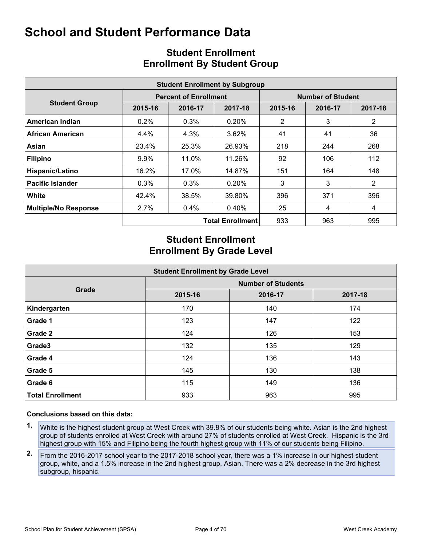<span id="page-3-0"></span>

|                             |         |                              | <b>Student Enrollment by Subgroup</b> |                          |         |                |  |  |  |
|-----------------------------|---------|------------------------------|---------------------------------------|--------------------------|---------|----------------|--|--|--|
|                             |         | <b>Percent of Enrollment</b> |                                       | <b>Number of Student</b> |         |                |  |  |  |
| <b>Student Group</b>        | 2015-16 | 2016-17                      | 2017-18                               | 2015-16                  | 2016-17 | 2017-18        |  |  |  |
| American Indian             | $0.2\%$ | 0.3%                         | 0.20%                                 | 2                        | 3       | $\overline{2}$ |  |  |  |
| African American            | 4.4%    | 4.3%                         | 3.62%                                 | 41                       | 41      | 36             |  |  |  |
| Asian                       | 23.4%   | 25.3%                        | 26.93%                                | 218                      | 244     | 268            |  |  |  |
| <b>Filipino</b>             | 9.9%    | 11.0%                        | 11.26%                                | 92                       | 106     | 112            |  |  |  |
| Hispanic/Latino             | 16.2%   | 17.0%                        | 14.87%                                | 151                      | 164     | 148            |  |  |  |
| <b>Pacific Islander</b>     | 0.3%    | 0.3%                         | 0.20%                                 | 3                        | 3       | $\overline{2}$ |  |  |  |
| White                       | 42.4%   | 38.5%                        | 39.80%                                | 396                      | 371     | 396            |  |  |  |
| <b>Multiple/No Response</b> | 2.7%    | $0.4\%$                      | $0.40\%$                              | 25                       | 4       | 4              |  |  |  |
|                             |         |                              | <b>Total Enrollment</b>               | 933                      | 963     | 995            |  |  |  |

## <span id="page-3-1"></span>**Student Enrollment Enrollment By Student Group**

## **Student Enrollment Enrollment By Grade Level**

| <b>Student Enrollment by Grade Level</b> |                           |         |         |  |  |  |  |  |  |  |
|------------------------------------------|---------------------------|---------|---------|--|--|--|--|--|--|--|
|                                          | <b>Number of Students</b> |         |         |  |  |  |  |  |  |  |
| Grade                                    | 2015-16                   | 2016-17 | 2017-18 |  |  |  |  |  |  |  |
| Kindergarten                             | 170                       | 140     | 174     |  |  |  |  |  |  |  |
| Grade 1                                  | 123                       | 147     | 122     |  |  |  |  |  |  |  |
| Grade 2                                  | 124                       | 126     | 153     |  |  |  |  |  |  |  |
| Grade3                                   | 132                       | 135     | 129     |  |  |  |  |  |  |  |
| Grade 4                                  | 124                       | 136     | 143     |  |  |  |  |  |  |  |
| Grade 5                                  | 145                       | 130     | 138     |  |  |  |  |  |  |  |
| Grade 6                                  | 115                       | 149     | 136     |  |  |  |  |  |  |  |
| <b>Total Enrollment</b>                  | 933                       | 963     | 995     |  |  |  |  |  |  |  |

- **1.** White is the highest student group at West Creek with 39.8% of our students being white. Asian is the 2nd highest group of students enrolled at West Creek with around 27% of students enrolled at West Creek. Hispanic is the 3rd highest group with 15% and Filipino being the fourth highest group with 11% of our students being Filipino.
- **2.** From the 2016-2017 school year to the 2017-2018 school year, there was a 1% increase in our highest student group, white, and a 1.5% increase in the 2nd highest group, Asian. There was a 2% decrease in the 3rd highest subgroup, hispanic.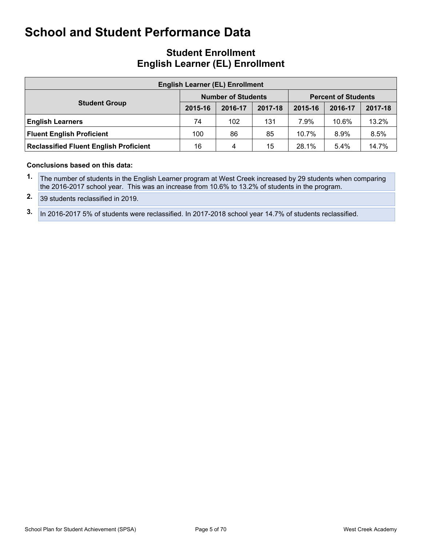### **Student Enrollment English Learner (EL) Enrollment**

| <b>English Learner (EL) Enrollment</b>        |                                                         |         |         |         |         |         |  |  |  |  |  |
|-----------------------------------------------|---------------------------------------------------------|---------|---------|---------|---------|---------|--|--|--|--|--|
|                                               | <b>Number of Students</b><br><b>Percent of Students</b> |         |         |         |         |         |  |  |  |  |  |
| <b>Student Group</b>                          | 2015-16                                                 | 2016-17 | 2017-18 | 2015-16 | 2016-17 | 2017-18 |  |  |  |  |  |
| <b>English Learners</b>                       | 74                                                      | 102     | 131     | 7.9%    | 10.6%   | 13.2%   |  |  |  |  |  |
| <b>Fluent English Proficient</b>              | 100                                                     | 86      | 85      | 10.7%   | 8.9%    | 8.5%    |  |  |  |  |  |
| <b>Reclassified Fluent English Proficient</b> | 16                                                      | 4       | 15      | 28.1%   | 5.4%    | 14.7%   |  |  |  |  |  |

#### **Conclusions based on this data:**

**1.** The number of students in the English Learner program at West Creek increased by 29 students when comparing the 2016-2017 school year. This was an increase from 10.6% to 13.2% of students in the program.

**2.** 39 students reclassified in 2019.

**3.** In 2016-2017 5% of students were reclassified. In 2017-2018 school year 14.7% of students reclassified.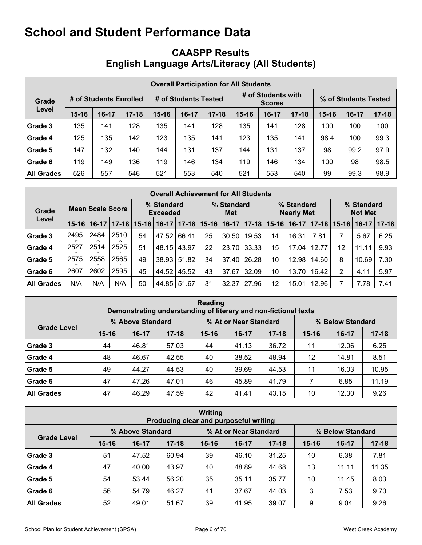## <span id="page-5-0"></span>**CAASPP Results English Language Arts/Literacy (All Students)**

|                   | <b>Overall Participation for All Students</b> |                        |           |                      |         |           |                                     |         |           |                      |       |           |  |
|-------------------|-----------------------------------------------|------------------------|-----------|----------------------|---------|-----------|-------------------------------------|---------|-----------|----------------------|-------|-----------|--|
| Grade             |                                               | # of Students Enrolled |           | # of Students Tested |         |           | # of Students with<br><b>Scores</b> |         |           | % of Students Tested |       |           |  |
| Level             | $15 - 16$                                     | $16-17$                | $17 - 18$ | $15 - 16$            | $16-17$ | $17 - 18$ | $15 - 16$                           | $16-17$ | $17 - 18$ | $15 - 16$            | 16-17 | $17 - 18$ |  |
| Grade 3           | 135                                           | 141                    | 128       | 135                  | 141     | 128       | 135                                 | 141     | 128       | 100                  | 100   | 100       |  |
| Grade 4           | 125                                           | 135                    | 142       | 123                  | 135     | 141       | 123                                 | 135     | 141       | 98.4                 | 100   | 99.3      |  |
| Grade 5           | 147                                           | 132                    | 140       | 144                  | 131     | 137       | 144                                 | 131     | 137       | 98                   | 99.2  | 97.9      |  |
| Grade 6           | 119                                           | 149                    | 136       | 119                  | 146     | 134       | 119                                 | 146     | 134       | 100                  | 98    | 98.5      |  |
| <b>All Grades</b> | 526                                           | 557                    | 546       | 521                  | 553     | 540       | 521                                 | 553     | 540       | 99                   | 99.3  | 98.9      |  |

|                   | <b>Overall Achievement for All Students</b> |         |       |                               |         |           |                   |         |       |                                 |         |           |                              |         |       |
|-------------------|---------------------------------------------|---------|-------|-------------------------------|---------|-----------|-------------------|---------|-------|---------------------------------|---------|-----------|------------------------------|---------|-------|
| Grade             | <b>Mean Scale Score</b>                     |         |       | % Standard<br><b>Exceeded</b> |         |           | % Standard<br>Met |         |       | % Standard<br><b>Nearly Met</b> |         |           | % Standard<br><b>Not Met</b> |         |       |
| Level             | $15 - 16$                                   | $16-17$ |       | $17 - 18$   15-16             | $16-17$ | $17 - 18$ | $15 - 16$         | $16-17$ | 17-18 | $15 - 16$                       | $16-17$ | $17 - 18$ | $15 - 16$                    | $16-17$ | 17-18 |
| Grade 3           | 2495.                                       | 2484.   | 2510. | 54                            | 47.52   | 66.41     | 25                | 30.50   | 19.53 | 14                              | 16.31   | 7.81      |                              | 5.67    | 6.25  |
| Grade 4           | 2527.                                       | 2514.   | 2525. | 51                            | 48.15   | 43.97     | 22                | 23.70   | 33.33 | 15                              | 17.04   | 12.77     | 12                           | 11.11   | 9.93  |
| Grade 5           | 2575.                                       | 2558.   | 2565. | 49                            | 38.93   | 51.82     | 34                | 37.40   | 26.28 | 10                              | 12.98   | 14.60     | 8                            | 10.69   | 7.30  |
| Grade 6           | 2607                                        | 2602.   | 2595. | 45                            | 44.52   | 45.52     | 43                | 37.67   | 32.09 | 10                              | 13.70   | 16.42     | 2                            | 4.11    | 5.97  |
| <b>All Grades</b> | N/A                                         | N/A     | N/A   | 50                            | 44.85   | 51.67     | 31                | 32.37   | 27.96 | 12                              | 15.01   | 12.96     |                              | 7.78    | 7.41  |

| Reading<br>Demonstrating understanding of literary and non-fictional texts |           |                  |           |           |                       |           |                  |         |           |  |  |  |
|----------------------------------------------------------------------------|-----------|------------------|-----------|-----------|-----------------------|-----------|------------------|---------|-----------|--|--|--|
|                                                                            |           | % Above Standard |           |           | % At or Near Standard |           | % Below Standard |         |           |  |  |  |
| <b>Grade Level</b>                                                         | $15 - 16$ | $16-17$          | $17 - 18$ | $15 - 16$ | $16-17$               | $17 - 18$ | $15 - 16$        | $16-17$ | $17 - 18$ |  |  |  |
| Grade 3                                                                    | 44        | 46.81            | 57.03     | 44        | 41.13                 | 36.72     | 11               | 12.06   | 6.25      |  |  |  |
| Grade 4                                                                    | 48        | 46.67            | 42.55     | 40        | 38.52                 | 48.94     | 12               | 14.81   | 8.51      |  |  |  |
| Grade 5                                                                    | 49        | 44.27            | 44.53     | 40        | 39.69                 | 44.53     | 11               | 16.03   | 10.95     |  |  |  |
| Grade 6                                                                    | 47        | 47.26            | 47.01     | 46        | 45.89                 | 41.79     | 7                | 6.85    | 11.19     |  |  |  |
| <b>All Grades</b>                                                          | 47        | 46.29            | 47.59     | 42        | 41.41                 | 43.15     | 10               | 12.30   | 9.26      |  |  |  |

| Writing<br>Producing clear and purposeful writing |           |                  |           |           |                       |           |                  |         |           |  |  |  |
|---------------------------------------------------|-----------|------------------|-----------|-----------|-----------------------|-----------|------------------|---------|-----------|--|--|--|
|                                                   |           | % Above Standard |           |           | % At or Near Standard |           | % Below Standard |         |           |  |  |  |
| <b>Grade Level</b>                                | $15 - 16$ | $16-17$          | $17 - 18$ | $15 - 16$ | $16-17$               | $17 - 18$ | $15 - 16$        | $16-17$ | $17 - 18$ |  |  |  |
| Grade 3                                           | 51        | 47.52            | 60.94     | 39        | 46.10                 | 31.25     | 10               | 6.38    | 7.81      |  |  |  |
| Grade 4                                           | 47        | 40.00            | 43.97     | 40        | 48.89                 | 44.68     | 13               | 11.11   | 11.35     |  |  |  |
| Grade 5                                           | 54        | 53.44            | 56.20     | 35        | 35.11                 | 35.77     | 10               | 11.45   | 8.03      |  |  |  |
| Grade 6                                           | 56        | 54.79            | 46.27     | 41        | 37.67                 | 44.03     | 3                | 7.53    | 9.70      |  |  |  |
| <b>All Grades</b>                                 | 52        | 49.01            | 51.67     | 39        | 41.95                 | 39.07     | 9                | 9.04    | 9.26      |  |  |  |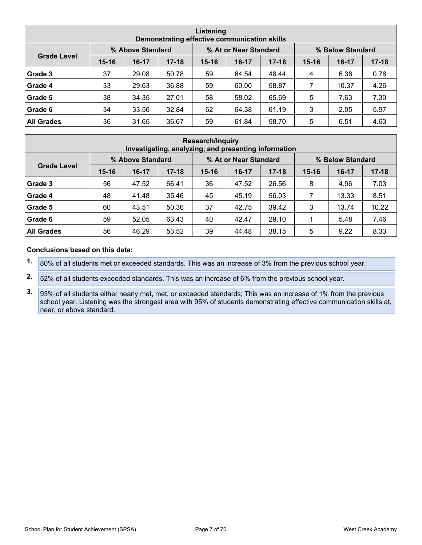| Listening<br>Demonstrating effective communication skills |           |                  |           |           |                       |           |                  |         |           |  |  |  |
|-----------------------------------------------------------|-----------|------------------|-----------|-----------|-----------------------|-----------|------------------|---------|-----------|--|--|--|
|                                                           |           | % Above Standard |           |           | % At or Near Standard |           | % Below Standard |         |           |  |  |  |
| <b>Grade Level</b>                                        | $15 - 16$ | $16-17$          | $17 - 18$ | $15 - 16$ | $16-17$               | $17 - 18$ | $15 - 16$        | $16-17$ | $17 - 18$ |  |  |  |
| Grade 3                                                   | 37        | 29.08            | 50.78     | 59        | 64.54                 | 48.44     | 4                | 6.38    | 0.78      |  |  |  |
| Grade 4                                                   | 33        | 29.63            | 36.88     | 59        | 60.00                 | 58.87     | 7                | 10.37   | 4.26      |  |  |  |
| Grade 5                                                   | 38        | 34.35            | 27.01     | 58        | 58.02                 | 65.69     | 5                | 7.63    | 7.30      |  |  |  |
| Grade 6                                                   | 34        | 33.56            | 32.84     | 62        | 64.38                 | 61.19     | 3                | 2.05    | 5.97      |  |  |  |
| <b>All Grades</b>                                         | 36        | 31.65            | 36.67     | 59        | 61.84                 | 58.70     | 5                | 6.51    | 4.63      |  |  |  |

| <b>Research/Inquiry</b><br>Investigating, analyzing, and presenting information |           |                  |           |           |                       |           |           |                  |           |  |  |  |
|---------------------------------------------------------------------------------|-----------|------------------|-----------|-----------|-----------------------|-----------|-----------|------------------|-----------|--|--|--|
|                                                                                 |           | % Above Standard |           |           | % At or Near Standard |           |           | % Below Standard |           |  |  |  |
| <b>Grade Level</b>                                                              | $15 - 16$ | $16-17$          | $17 - 18$ | $15 - 16$ | $16-17$               | $17 - 18$ | $15 - 16$ | $16 - 17$        | $17 - 18$ |  |  |  |
| Grade 3                                                                         | 56        | 47.52            | 66.41     | 36        | 47.52                 | 26.56     | 8         | 4.96             | 7.03      |  |  |  |
| Grade 4                                                                         | 48        | 41.48            | 35.46     | 45        | 45.19                 | 56.03     | 7         | 13.33            | 8.51      |  |  |  |
| Grade 5                                                                         | 60        | 43.51            | 50.36     | 37        | 42.75                 | 39.42     | 3         | 13.74            | 10.22     |  |  |  |
| Grade 6                                                                         | 59        | 52.05            | 63.43     | 40        | 42.47                 | 29.10     |           | 5.48             | 7.46      |  |  |  |
| <b>All Grades</b>                                                               | 56        | 46.29            | 53.52     | 39        | 44.48                 | 38.15     | 5         | 9.22             | 8.33      |  |  |  |

- **1.** 80% of all students met or exceeded standards. This was an increase of 3% from the previous school year.
- **2.** 52% of all students exceeded standards. This was an increase of 6% from the previous school year.
- **3.** 93% of all students either nearly met, met, or exceeded standards; This was an increase of 1% from the previous school year. Listening was the strongest area with 95% of students demonstrating effective communication skills at, near, or above standard.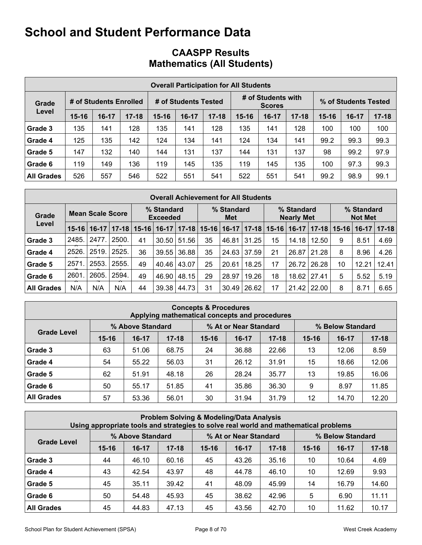## **CAASPP Results Mathematics (All Students)**

|                   | <b>Overall Participation for All Students</b> |                        |           |                      |         |           |           |                                     |           |                      |       |           |  |
|-------------------|-----------------------------------------------|------------------------|-----------|----------------------|---------|-----------|-----------|-------------------------------------|-----------|----------------------|-------|-----------|--|
| Grade             |                                               | # of Students Enrolled |           | # of Students Tested |         |           |           | # of Students with<br><b>Scores</b> |           | % of Students Tested |       |           |  |
| Level             | $15 - 16$                                     | $16 - 17$              | $17 - 18$ | $15 - 16$            | $16-17$ | $17 - 18$ | $15 - 16$ | $16-17$                             | $17 - 18$ | $15 - 16$            | 16-17 | $17 - 18$ |  |
| Grade 3           | 135                                           | 141                    | 128       | 135                  | 141     | 128       | 135       | 141                                 | 128       | 100                  | 100   | 100       |  |
| Grade 4           | 125                                           | 135                    | 142       | 124                  | 134     | 141       | 124       | 134                                 | 141       | 99.2                 | 99.3  | 99.3      |  |
| Grade 5           | 147                                           | 132                    | 140       | 144                  | 131     | 137       | 144       | 131                                 | 137       | 98                   | 99.2  | 97.9      |  |
| Grade 6           | 119                                           | 149                    | 136       | 119                  | 145     | 135       | 119       | 145                                 | 135       | 100                  | 97.3  | 99.3      |  |
| <b>All Grades</b> | 526                                           | 557                    | 546       | 522                  | 551     | 541       | 522       | 551                                 | 541       | 99.2                 | 98.9  | 99.1      |  |

|                   | <b>Overall Achievement for All Students</b> |                         |           |           |                               |           |           |                   |           |           |                                 |                 |           |                              |             |  |  |
|-------------------|---------------------------------------------|-------------------------|-----------|-----------|-------------------------------|-----------|-----------|-------------------|-----------|-----------|---------------------------------|-----------------|-----------|------------------------------|-------------|--|--|
| Grade             |                                             | <b>Mean Scale Score</b> |           |           | % Standard<br><b>Exceeded</b> |           |           | % Standard<br>Met |           |           | % Standard<br><b>Nearly Met</b> |                 |           | % Standard<br><b>Not Met</b> |             |  |  |
| Level             | $15-16$                                     | $16-17$                 | $17 - 18$ | $15 - 16$ | $16-17$                       | $17 - 18$ | $15 - 16$ | $16-17$           | $17 - 18$ | $15 - 16$ | $16-17$                         | $17 - 18$       | $15 - 16$ | $16-17$                      | $ 17 - 18 $ |  |  |
| Grade 3           | 2485.                                       | 2477.                   | 2500.     | 41        | 30.50                         | 51.56     | 35        | 46.81             | 31.25     | 15        | 14.18                           | 12.50           | 9         | 8.51                         | 4.69        |  |  |
| Grade 4           | 2526.                                       | 2519.                   | 2525.     | 36        | 39.55                         | 36.88     | 35        | 24.63             | 37.59     | 21        | 26.87                           | 21.28           | 8         | 8.96                         | 4.26        |  |  |
| Grade 5           | 2571                                        | 2553.                   | 2555.     | 49        | 40.46                         | 43.07     | 25        | 20.61             | 18.25     | 17        | 26.72                           | 26.28           | 10        | 12.21                        | 12.41       |  |  |
| Grade 6           | 2601                                        | 2605.                   | 2594.     | 49        | 46.90                         | 48.15     | 29        | 28.97             | 19.26     | 18        | 18.62                           | 27.41           | 5         | 5.52                         | 5.19        |  |  |
| <b>All Grades</b> | N/A                                         | N/A                     | N/A       | 44        | 39.38                         | 44.73     | 31        | 30.49             | 26.62     | 17        |                                 | $21.42$   22.00 | 8         | 8.71                         | 6.65        |  |  |

| <b>Concepts &amp; Procedures</b><br>Applying mathematical concepts and procedures |           |                  |           |           |                       |           |                  |           |           |  |  |  |
|-----------------------------------------------------------------------------------|-----------|------------------|-----------|-----------|-----------------------|-----------|------------------|-----------|-----------|--|--|--|
|                                                                                   |           | % Above Standard |           |           | % At or Near Standard |           | % Below Standard |           |           |  |  |  |
| <b>Grade Level</b>                                                                | $15 - 16$ | $16-17$          | $17 - 18$ | $15 - 16$ | $16-17$               | $17 - 18$ | $15 - 16$        | $16 - 17$ | $17 - 18$ |  |  |  |
| Grade 3                                                                           | 63        | 51.06            | 68.75     | 24        | 36.88                 | 22.66     | 13               | 12.06     | 8.59      |  |  |  |
| Grade 4                                                                           | 54        | 55.22            | 56.03     | 31        | 26.12                 | 31.91     | 15               | 18.66     | 12.06     |  |  |  |
| Grade 5                                                                           | 62        | 51.91            | 48.18     | 26        | 28.24                 | 35.77     | 13               | 19.85     | 16.06     |  |  |  |
| Grade 6                                                                           | 50        | 55.17            | 51.85     | 41        | 35.86                 | 36.30     | 9                | 8.97      | 11.85     |  |  |  |
| <b>All Grades</b>                                                                 | 57        | 53.36            | 56.01     | 30        | 31.94                 | 31.79     | 12               | 14.70     | 12.20     |  |  |  |

| <b>Problem Solving &amp; Modeling/Data Analysis</b><br>Using appropriate tools and strategies to solve real world and mathematical problems |           |                  |           |           |                                           |           |           |         |           |  |  |
|---------------------------------------------------------------------------------------------------------------------------------------------|-----------|------------------|-----------|-----------|-------------------------------------------|-----------|-----------|---------|-----------|--|--|
|                                                                                                                                             |           | % Above Standard |           |           | % At or Near Standard<br>% Below Standard |           |           |         |           |  |  |
| <b>Grade Level</b>                                                                                                                          | $15 - 16$ | $16-17$          | $17 - 18$ | $15 - 16$ | $16 - 17$                                 | $17 - 18$ | $15 - 16$ | $16-17$ | $17 - 18$ |  |  |
| Grade 3                                                                                                                                     | 44        | 46.10            | 60.16     | 45        | 43.26                                     | 35.16     | 10        | 10.64   | 4.69      |  |  |
| Grade 4                                                                                                                                     | 43        | 42.54            | 43.97     | 48        | 44.78                                     | 46.10     | 10        | 12.69   | 9.93      |  |  |
| Grade 5                                                                                                                                     | 45        | 35.11            | 39.42     | 41        | 48.09                                     | 45.99     | 14        | 16.79   | 14.60     |  |  |
| Grade 6                                                                                                                                     | 50        | 54.48            | 45.93     | 45        | 38.62                                     | 42.96     | 5         | 6.90    | 11.11     |  |  |
| <b>All Grades</b>                                                                                                                           | 45        | 44.83            | 47.13     | 45        | 43.56                                     | 42.70     | 10        | 11.62   | 10.17     |  |  |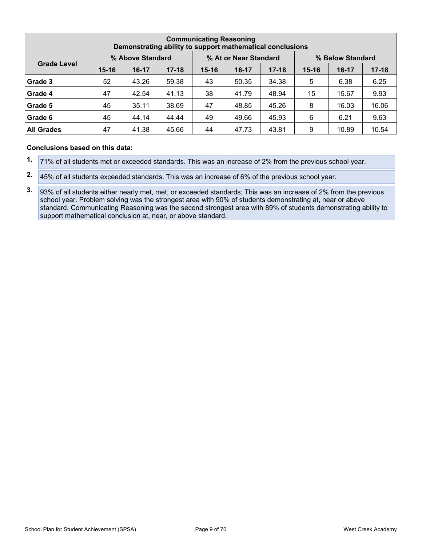| <b>Communicating Reasoning</b><br>Demonstrating ability to support mathematical conclusions |           |                  |           |           |                       |           |                  |         |           |  |  |  |
|---------------------------------------------------------------------------------------------|-----------|------------------|-----------|-----------|-----------------------|-----------|------------------|---------|-----------|--|--|--|
|                                                                                             |           | % Above Standard |           |           | % At or Near Standard |           | % Below Standard |         |           |  |  |  |
| <b>Grade Level</b>                                                                          | $15 - 16$ | $16-17$          | $17 - 18$ | $15 - 16$ | $16-17$               | $17 - 18$ | $15 - 16$        | $16-17$ | $17 - 18$ |  |  |  |
| Grade 3                                                                                     | 52        | 43.26            | 59.38     | 43        | 50.35                 | 34.38     | 5                | 6.38    | 6.25      |  |  |  |
| Grade 4                                                                                     | 47        | 42.54            | 41.13     | 38        | 41.79                 | 48.94     | 15               | 15.67   | 9.93      |  |  |  |
| Grade 5                                                                                     | 45        | 35.11            | 38.69     | 47        | 48.85                 | 45.26     | 8                | 16.03   | 16.06     |  |  |  |
| Grade 6                                                                                     | 45        | 44.14            | 44.44     | 49        | 49.66                 | 45.93     | 6                | 6.21    | 9.63      |  |  |  |
| <b>All Grades</b>                                                                           | 47        | 41.38            | 45.66     | 44        | 47.73                 | 43.81     | 9                | 10.89   | 10.54     |  |  |  |

- **1.** 71% of all students met or exceeded standards. This was an increase of 2% from the previous school year.
- **2.** 45% of all students exceeded standards. This was an increase of 6% of the previous school year.
- **3.** 93% of all students either nearly met, met, or exceeded standards; This was an increase of 2% from the previous school year. Problem solving was the strongest area with 90% of students demonstrating at, near or above standard. Communicating Reasoning was the second strongest area with 89% of students demonstrating ability to support mathematical conclusion at, near, or above standard.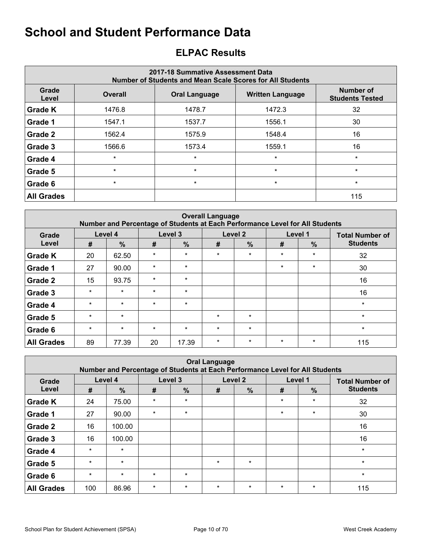## <span id="page-9-0"></span>**ELPAC Results**

|                   | 2017-18 Summative Assessment Data<br><b>Number of Students and Mean Scale Scores for All Students</b> |                         |                                     |         |  |  |  |  |  |  |  |  |
|-------------------|-------------------------------------------------------------------------------------------------------|-------------------------|-------------------------------------|---------|--|--|--|--|--|--|--|--|
| Grade<br>Level    | <b>Overall</b>                                                                                        | <b>Written Language</b> | Number of<br><b>Students Tested</b> |         |  |  |  |  |  |  |  |  |
| <b>Grade K</b>    | 1476.8                                                                                                | 1478.7                  | 1472.3                              | 32      |  |  |  |  |  |  |  |  |
| Grade 1           | 1547.1                                                                                                | 1537.7                  | 1556.1                              | 30      |  |  |  |  |  |  |  |  |
| Grade 2           | 1562.4                                                                                                | 1575.9                  | 1548.4                              | 16      |  |  |  |  |  |  |  |  |
| Grade 3           | 1566.6                                                                                                | 1573.4                  | 1559.1                              | 16      |  |  |  |  |  |  |  |  |
| Grade 4           | $\star$                                                                                               | $\star$                 | $\star$                             | $\star$ |  |  |  |  |  |  |  |  |
| Grade 5           | $\star$                                                                                               | $\star$                 | $\star$                             | $\star$ |  |  |  |  |  |  |  |  |
| Grade 6           | $\star$                                                                                               | $\star$                 | $\star$                             | $\star$ |  |  |  |  |  |  |  |  |
| <b>All Grades</b> |                                                                                                       |                         |                                     | 115     |  |  |  |  |  |  |  |  |

|                   | <b>Overall Language</b><br>Number and Percentage of Students at Each Performance Level for All Students |               |         |               |         |         |         |         |                        |  |  |  |  |
|-------------------|---------------------------------------------------------------------------------------------------------|---------------|---------|---------------|---------|---------|---------|---------|------------------------|--|--|--|--|
| Grade             |                                                                                                         | Level 4       |         | Level 3       |         | Level 2 |         | Level 1 | <b>Total Number of</b> |  |  |  |  |
| Level             | #                                                                                                       | $\frac{9}{6}$ | #       | $\frac{0}{0}$ | #       | %       | #       | $\%$    | <b>Students</b>        |  |  |  |  |
| <b>Grade K</b>    | 20                                                                                                      | 62.50         | $\star$ | $\star$       | $\star$ | $\star$ | $\star$ | $\star$ | 32                     |  |  |  |  |
| Grade 1           | 27                                                                                                      | 90.00         | $\star$ | $\star$       |         |         | $\star$ | $\star$ | 30                     |  |  |  |  |
| <b>Grade 2</b>    | 15                                                                                                      | 93.75         | $\star$ | $\star$       |         |         |         |         | 16                     |  |  |  |  |
| Grade 3           | $\star$                                                                                                 | $\star$       | $\star$ | $\star$       |         |         |         |         | 16                     |  |  |  |  |
| Grade 4           | $\star$                                                                                                 | $\star$       | $\star$ | $\star$       |         |         |         |         | $\star$                |  |  |  |  |
| Grade 5           | $\star$                                                                                                 | $\star$       |         |               | $\star$ | $\star$ |         |         | $\star$                |  |  |  |  |
| Grade 6           | $\star$                                                                                                 | $\star$       | $\star$ | $\star$       | $\star$ | $\star$ |         |         | $\star$                |  |  |  |  |
| <b>All Grades</b> | 89                                                                                                      | 77.39         | 20      | 17.39         | $\star$ | $\star$ | $\star$ | $\star$ | 115                    |  |  |  |  |

|                   |         | Number and Percentage of Students at Each Performance Level for All Students |         |               | <b>Oral Language</b> |               |         |               |                        |
|-------------------|---------|------------------------------------------------------------------------------|---------|---------------|----------------------|---------------|---------|---------------|------------------------|
| Grade             |         | Level 4                                                                      | Level 3 |               |                      | Level 2       |         | Level 1       | <b>Total Number of</b> |
| Level             | #       | $\frac{9}{6}$                                                                | #       | $\frac{0}{0}$ | #                    | $\frac{9}{6}$ | #       | $\frac{0}{0}$ | <b>Students</b>        |
| <b>Grade K</b>    | 24      | 75.00                                                                        | $\star$ | $\star$       |                      |               | $\star$ | $\star$       | 32                     |
| Grade 1           | 27      | 90.00                                                                        | $\star$ | $\star$       |                      |               | $\star$ | $\star$       | 30                     |
| Grade 2           | 16      | 100.00                                                                       |         |               |                      |               |         |               | 16                     |
| Grade 3           | 16      | 100.00                                                                       |         |               |                      |               |         |               | 16                     |
| Grade 4           | $\star$ | $\star$                                                                      |         |               |                      |               |         |               | $\star$                |
| Grade 5           | $\star$ | $\star$                                                                      |         |               | $\star$              | $\star$       |         |               | $\star$                |
| Grade 6           | $\star$ | $\star$                                                                      | $\star$ | $\ast$        |                      |               |         |               | $\star$                |
| <b>All Grades</b> | 100     | 86.96                                                                        | $\star$ | $\star$       | $\star$              | $\star$       | $\star$ | $\star$       | 115                    |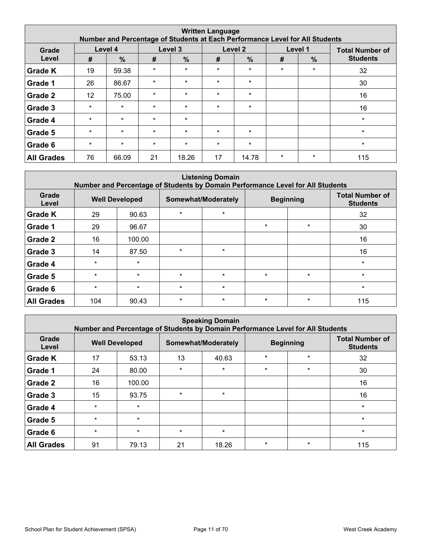|                   |                   |               |         |               | <b>Written Language</b> | Number and Percentage of Students at Each Performance Level for All Students |         |               |                        |
|-------------------|-------------------|---------------|---------|---------------|-------------------------|------------------------------------------------------------------------------|---------|---------------|------------------------|
| Grade             |                   | Level 4       | Level 3 |               |                         | Level <sub>2</sub>                                                           |         | Level 1       | <b>Total Number of</b> |
| Level             | #                 | $\frac{0}{0}$ | #       | $\frac{9}{6}$ | #                       | $\frac{0}{0}$                                                                | #       | $\frac{9}{6}$ | <b>Students</b>        |
| <b>Grade K</b>    | 19                | 59.38         | $\star$ | $\star$       | $\star$                 | $\star$                                                                      | $\star$ | $\star$       | 32                     |
| Grade 1           | 26                | 86.67         | $\star$ | $\star$       | $\star$                 | $\star$                                                                      |         |               | 30                     |
| Grade 2           | $12 \overline{ }$ | 75.00         | $\star$ | $\star$       | $\star$                 | $\star$                                                                      |         |               | 16                     |
| Grade 3           | $\star$           | $\star$       | $\star$ | $\star$       | $\star$                 | $\star$                                                                      |         |               | 16                     |
| Grade 4           | $\star$           | $\star$       | $\star$ | $\star$       |                         |                                                                              |         |               | $\star$                |
| Grade 5           | $\star$           | $\star$       | $\star$ | $\star$       | $\star$                 | $\star$                                                                      |         |               | $\star$                |
| Grade 6           | $\star$           | $\star$       | $\star$ | $\star$       | $\star$                 | $\star$                                                                      |         |               | $\star$                |
| <b>All Grades</b> | 76                | 66.09         | 21      | 18.26         | 17                      | 14.78                                                                        | $\star$ | $\star$       | 115                    |

| <b>Listening Domain</b><br>Number and Percentage of Students by Domain Performance Level for All Students |                       |         |         |                     |         |                  |                                           |  |  |  |  |  |
|-----------------------------------------------------------------------------------------------------------|-----------------------|---------|---------|---------------------|---------|------------------|-------------------------------------------|--|--|--|--|--|
| Grade<br>Level                                                                                            | <b>Well Developed</b> |         |         | Somewhat/Moderately |         | <b>Beginning</b> | <b>Total Number of</b><br><b>Students</b> |  |  |  |  |  |
| <b>Grade K</b>                                                                                            | 29                    | 90.63   | $\star$ | $\star$             |         |                  | 32                                        |  |  |  |  |  |
| Grade 1                                                                                                   | 29                    | 96.67   |         |                     | $\star$ | $\star$          | 30                                        |  |  |  |  |  |
| Grade 2                                                                                                   | 16                    | 100.00  |         |                     |         |                  | 16                                        |  |  |  |  |  |
| Grade 3                                                                                                   | 14                    | 87.50   | $\star$ | $\star$             |         |                  | 16                                        |  |  |  |  |  |
| Grade 4                                                                                                   | $\star$               | $\star$ |         |                     |         |                  | $\star$                                   |  |  |  |  |  |
| Grade 5                                                                                                   | $\star$               | $\star$ | $\star$ | $\star$             | $\star$ | $\star$          | $\star$                                   |  |  |  |  |  |
| Grade 6                                                                                                   | $\star$               | $\star$ | $\star$ | $\star$             |         |                  | $\star$                                   |  |  |  |  |  |
| <b>All Grades</b>                                                                                         | 104                   | 90.43   | $\star$ | $\star$             | $\star$ | $\star$          | 115                                       |  |  |  |  |  |

|                   | <b>Speaking Domain</b><br>Number and Percentage of Students by Domain Performance Level for All Students |         |         |                     |         |                  |                                           |  |  |  |  |  |
|-------------------|----------------------------------------------------------------------------------------------------------|---------|---------|---------------------|---------|------------------|-------------------------------------------|--|--|--|--|--|
| Grade<br>Level    | <b>Well Developed</b>                                                                                    |         |         | Somewhat/Moderately |         | <b>Beginning</b> | <b>Total Number of</b><br><b>Students</b> |  |  |  |  |  |
| <b>Grade K</b>    | 17                                                                                                       | 53.13   | 13      | 40.63               | $\star$ | $\star$          | 32                                        |  |  |  |  |  |
| Grade 1           | 24                                                                                                       | 80.00   | $\star$ | $\star$             | $\star$ | $\star$          | 30                                        |  |  |  |  |  |
| Grade 2           | 16                                                                                                       | 100.00  |         |                     |         |                  | 16                                        |  |  |  |  |  |
| Grade 3           | 15                                                                                                       | 93.75   | $\star$ | $\star$             |         |                  | 16                                        |  |  |  |  |  |
| Grade 4           | $\star$                                                                                                  | $\star$ |         |                     |         |                  | $\star$                                   |  |  |  |  |  |
| Grade 5           | $\star$                                                                                                  | $\star$ |         |                     |         |                  | $\star$                                   |  |  |  |  |  |
| Grade 6           | $\star$                                                                                                  | $\star$ | $\star$ | $\star$             |         |                  | $\star$                                   |  |  |  |  |  |
| <b>All Grades</b> | 91                                                                                                       | 79.13   | 21      | 18.26               | $\star$ | $\star$          | 115                                       |  |  |  |  |  |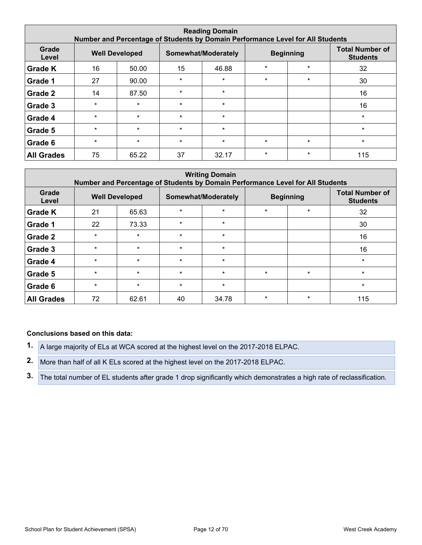| <b>Reading Domain</b><br>Number and Percentage of Students by Domain Performance Level for All Students |                       |         |         |                     |         |                  |                                           |  |  |  |  |
|---------------------------------------------------------------------------------------------------------|-----------------------|---------|---------|---------------------|---------|------------------|-------------------------------------------|--|--|--|--|
| Grade<br>Level                                                                                          | <b>Well Developed</b> |         |         | Somewhat/Moderately |         | <b>Beginning</b> | <b>Total Number of</b><br><b>Students</b> |  |  |  |  |
| <b>Grade K</b>                                                                                          | 16                    | 50.00   | 15      | 46.88               | $\star$ | $\star$          | 32                                        |  |  |  |  |
| Grade 1                                                                                                 | 27                    | 90.00   | $\star$ | $\star$             | $\star$ | $\star$          | 30                                        |  |  |  |  |
| Grade 2                                                                                                 | 14                    | 87.50   | $\star$ | $\star$             |         |                  | 16                                        |  |  |  |  |
| Grade 3                                                                                                 | $\star$               | $\star$ | $\star$ | $\star$             |         |                  | 16                                        |  |  |  |  |
| Grade 4                                                                                                 | $\star$               | $\star$ | $\star$ | $\star$             |         |                  | $\star$                                   |  |  |  |  |
| Grade 5                                                                                                 | $\star$               | $\star$ | $\star$ | $\star$             |         |                  | $\star$                                   |  |  |  |  |
| Grade 6                                                                                                 | $\star$               | $\star$ | $\star$ | $\star$             | $\star$ | $\star$          | $\star$                                   |  |  |  |  |
| <b>All Grades</b>                                                                                       | 75                    | 65.22   | 37      | 32.17               | $\star$ | $\ast$           | 115                                       |  |  |  |  |

|                   | <b>Writing Domain</b><br>Number and Percentage of Students by Domain Performance Level for All Students |                       |         |                     |         |                  |                                           |  |  |  |  |  |  |
|-------------------|---------------------------------------------------------------------------------------------------------|-----------------------|---------|---------------------|---------|------------------|-------------------------------------------|--|--|--|--|--|--|
| Grade<br>Level    |                                                                                                         | <b>Well Developed</b> |         | Somewhat/Moderately |         | <b>Beginning</b> | <b>Total Number of</b><br><b>Students</b> |  |  |  |  |  |  |
| <b>Grade K</b>    | 21                                                                                                      | 65.63                 | $\star$ | $\star$             | $\star$ | $\star$          | 32                                        |  |  |  |  |  |  |
| Grade 1           | 22                                                                                                      | 73.33                 | $\star$ | $\star$             |         |                  | 30                                        |  |  |  |  |  |  |
| Grade 2           | $\star$                                                                                                 | $\star$               | $\star$ | $\star$             |         |                  | 16                                        |  |  |  |  |  |  |
| Grade 3           | $\star$                                                                                                 | $\star$               | $\star$ | $\star$             |         |                  | 16                                        |  |  |  |  |  |  |
| Grade 4           | $\star$                                                                                                 | $\star$               | $\star$ | $\star$             |         |                  | $\star$                                   |  |  |  |  |  |  |
| Grade 5           | $\star$                                                                                                 | $\star$               | $\star$ | $\star$             | $\star$ | $\star$          | $\star$                                   |  |  |  |  |  |  |
| Grade 6           | $\star$                                                                                                 | $\star$               | $\star$ | $\star$             |         |                  | $\star$                                   |  |  |  |  |  |  |
| <b>All Grades</b> | 72                                                                                                      | 62.61                 | 40      | 34.78               | $\star$ | $\star$          | 115                                       |  |  |  |  |  |  |

- **1.** A large majority of ELs at WCA scored at the highest level on the 2017-2018 ELPAC.
- **2.** More than half of all K ELs scored at the highest level on the 2017-2018 ELPAC.
- **3.** The total number of EL students after grade 1 drop significantly which demonstrates a high rate of reclassification.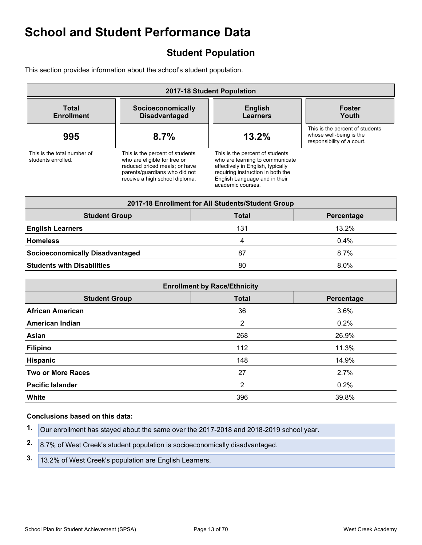## <span id="page-12-0"></span>**Student Population**

This section provides information about the school's student population.

| 2017-18 Student Population                        |                                                                                                                                                                     |   |                                                                                                                                                                                                    |                                                                                          |  |
|---------------------------------------------------|---------------------------------------------------------------------------------------------------------------------------------------------------------------------|---|----------------------------------------------------------------------------------------------------------------------------------------------------------------------------------------------------|------------------------------------------------------------------------------------------|--|
| <b>Total</b><br><b>Enrollment</b>                 | Socioeconomically<br><b>Disadvantaged</b>                                                                                                                           |   | <b>English</b><br>Learners                                                                                                                                                                         | <b>Foster</b><br>Youth                                                                   |  |
| 995                                               | 8.7%                                                                                                                                                                |   | 13.2%                                                                                                                                                                                              | This is the percent of students<br>whose well-being is the<br>responsibility of a court. |  |
| This is the total number of<br>students enrolled. | This is the percent of students<br>who are eligible for free or<br>reduced priced meals; or have<br>parents/guardians who did not<br>receive a high school diploma. |   | This is the percent of students<br>who are learning to communicate<br>effectively in English, typically<br>requiring instruction in both the<br>English Language and in their<br>academic courses. |                                                                                          |  |
|                                                   |                                                                                                                                                                     |   | 2017-18 Enrollment for All Students/Student Group                                                                                                                                                  |                                                                                          |  |
| <b>Student Group</b>                              |                                                                                                                                                                     |   | <b>Total</b>                                                                                                                                                                                       | Percentage                                                                               |  |
| <b>English Learners</b>                           |                                                                                                                                                                     |   | 131                                                                                                                                                                                                | 13.2%                                                                                    |  |
| <b>Homeless</b>                                   |                                                                                                                                                                     | 4 |                                                                                                                                                                                                    | 0.4%                                                                                     |  |
| <b>Socioeconomically Disadvantaged</b>            |                                                                                                                                                                     |   | 87                                                                                                                                                                                                 | 8.7%                                                                                     |  |
| <b>Students with Disabilities</b>                 |                                                                                                                                                                     |   | 80                                                                                                                                                                                                 | 8.0%                                                                                     |  |

| <b>Enrollment by Race/Ethnicity</b> |                |            |  |  |
|-------------------------------------|----------------|------------|--|--|
| <b>Student Group</b>                | <b>Total</b>   | Percentage |  |  |
| <b>African American</b>             | 36             | 3.6%       |  |  |
| <b>American Indian</b>              | $\overline{2}$ | 0.2%       |  |  |
| Asian                               | 268            | 26.9%      |  |  |
| <b>Filipino</b>                     | 112            | 11.3%      |  |  |
| <b>Hispanic</b>                     | 148            | 14.9%      |  |  |
| <b>Two or More Races</b>            | 27             | 2.7%       |  |  |
| <b>Pacific Islander</b>             | 2              | 0.2%       |  |  |
| White                               | 396            | 39.8%      |  |  |

| 1. Our enrollment has stayed about the same over the 2017-2018 and 2018-2019 school year. |
|-------------------------------------------------------------------------------------------|
|                                                                                           |
|                                                                                           |

- **2.** 8.7% of West Creek's student population is socioeconomically disadvantaged.
- **3.** 13.2% of West Creek's population are English Learners.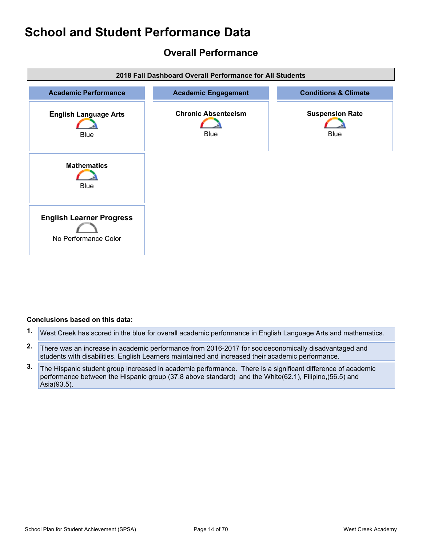## <span id="page-13-0"></span>**Overall Performance**



- **1.** West Creek has scored in the blue for overall academic performance in English Language Arts and mathematics.
- **2.** There was an increase in academic performance from 2016-2017 for socioeconomically disadvantaged and students with disabilities. English Learners maintained and increased their academic performance.
- **3.** The Hispanic student group increased in academic performance. There is a significant difference of academic performance between the Hispanic group (37.8 above standard) and the White(62.1), Filipino,(56.5) and Asia(93.5).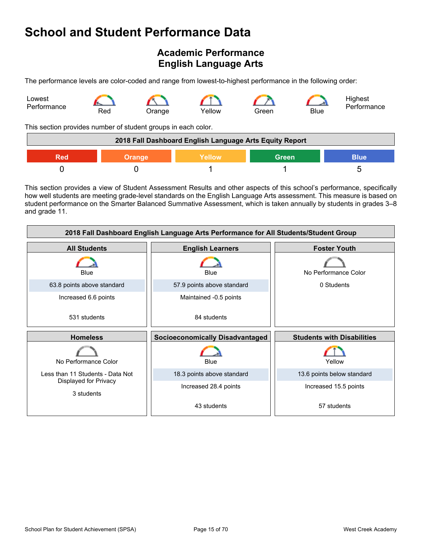## <span id="page-14-0"></span>**Academic Performance English Language Arts**

The performance levels are color-coded and range from lowest-to-highest performance in the following order:



This section provides number of student groups in each color.

| 2018 Fall Dashboard English Language Arts Equity Report              |  |  |  |  |
|----------------------------------------------------------------------|--|--|--|--|
| <b>Green</b><br><b>Blue</b><br><b>Yellow</b><br>Red<br><b>Orange</b> |  |  |  |  |
|                                                                      |  |  |  |  |

This section provides a view of Student Assessment Results and other aspects of this school's performance, specifically how well students are meeting grade-level standards on the English Language Arts assessment. This measure is based on student performance on the Smarter Balanced Summative Assessment, which is taken annually by students in grades 3–8 and grade 11.

| 2018 Fall Dashboard English Language Arts Performance for All Students/Student Group |                            |                                   |  |  |  |
|--------------------------------------------------------------------------------------|----------------------------|-----------------------------------|--|--|--|
| <b>All Students</b>                                                                  | <b>English Learners</b>    | <b>Foster Youth</b>               |  |  |  |
| Blue                                                                                 | Blue                       | No Performance Color              |  |  |  |
| 63.8 points above standard                                                           | 57.9 points above standard | 0 Students                        |  |  |  |
| Increased 6.6 points                                                                 | Maintained -0.5 points     |                                   |  |  |  |
| 531 students                                                                         | 84 students                |                                   |  |  |  |
| <b>Homeless</b><br><b>Socioeconomically Disadvantaged</b>                            |                            | <b>Students with Disabilities</b> |  |  |  |
|                                                                                      |                            |                                   |  |  |  |
| No Performance Color                                                                 | Blue                       | Yellow                            |  |  |  |
| Less than 11 Students - Data Not                                                     | 18.3 points above standard | 13.6 points below standard        |  |  |  |
| Displayed for Privacy<br>3 students                                                  | Increased 28.4 points      | Increased 15.5 points             |  |  |  |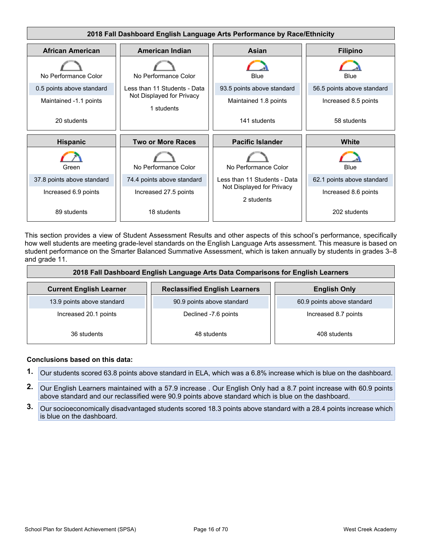

This section provides a view of Student Assessment Results and other aspects of this school's performance, specifically how well students are meeting grade-level standards on the English Language Arts assessment. This measure is based on student performance on the Smarter Balanced Summative Assessment, which is taken annually by students in grades 3–8 and grade 11.

| 2018 Fall Dashboard English Language Arts Data Comparisons for English Learners |                                      |                            |  |  |  |
|---------------------------------------------------------------------------------|--------------------------------------|----------------------------|--|--|--|
| <b>Current English Learner</b>                                                  | <b>Reclassified English Learners</b> | <b>English Only</b>        |  |  |  |
| 13.9 points above standard                                                      | 90.9 points above standard           | 60.9 points above standard |  |  |  |
| Increased 20.1 points<br>Declined -7.6 points                                   |                                      | Increased 8.7 points       |  |  |  |
| 36 students                                                                     | 48 students                          | 408 students               |  |  |  |

- **1.** Our students scored 63.8 points above standard in ELA, which was a 6.8% increase which is blue on the dashboard.
- **2.** Our English Learners maintained with a 57.9 increase . Our English Only had a 8.7 point increase with 60.9 points above standard and our reclassified were 90.9 points above standard which is blue on the dashboard.
- **3.** Our socioeconomically disadvantaged students scored 18.3 points above standard with a 28.4 points increase which is blue on the dashboard.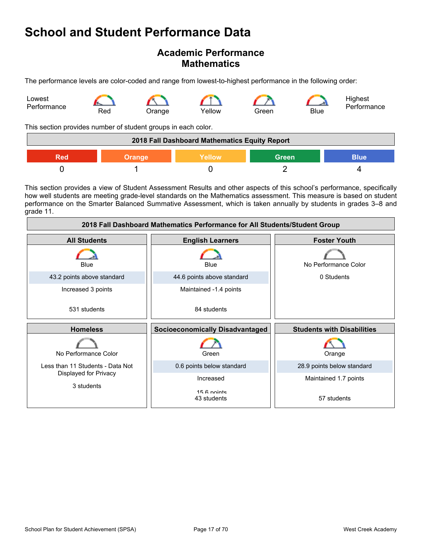### **Academic Performance Mathematics**

The performance levels are color-coded and range from lowest-to-highest performance in the following order:



This section provides number of student groups in each color.

| 2018 Fall Dashboard Mathematics Equity Report                 |  |  |  |  |  |
|---------------------------------------------------------------|--|--|--|--|--|
| <b>Green</b><br>Yellow<br><b>Blue</b><br><b>Orange</b><br>Red |  |  |  |  |  |
|                                                               |  |  |  |  |  |

This section provides a view of Student Assessment Results and other aspects of this school's performance, specifically how well students are meeting grade-level standards on the Mathematics assessment. This measure is based on student performance on the Smarter Balanced Summative Assessment, which is taken annually by students in grades 3–8 and grade 11.

| 2018 Fall Dashboard Mathematics Performance for All Students/Student Group |                                        |                                   |  |  |  |
|----------------------------------------------------------------------------|----------------------------------------|-----------------------------------|--|--|--|
| <b>All Students</b>                                                        | <b>English Learners</b>                | <b>Foster Youth</b>               |  |  |  |
| Blue                                                                       | Blue                                   | No Performance Color              |  |  |  |
| 43.2 points above standard                                                 | 44.6 points above standard             | 0 Students                        |  |  |  |
| Increased 3 points                                                         | Maintained -1.4 points                 |                                   |  |  |  |
| 531 students                                                               | 84 students                            |                                   |  |  |  |
| <b>Homeless</b>                                                            | <b>Socioeconomically Disadvantaged</b> | <b>Students with Disabilities</b> |  |  |  |
| No Performance Color                                                       | Green                                  | Orange                            |  |  |  |
| Less than 11 Students - Data Not                                           | 0.6 points below standard              | 28.9 points below standard        |  |  |  |
| Displayed for Privacy                                                      | Increased                              | Maintained 1.7 points             |  |  |  |
| 3 students                                                                 | 15 6 nointe<br>43 students             | 57 students                       |  |  |  |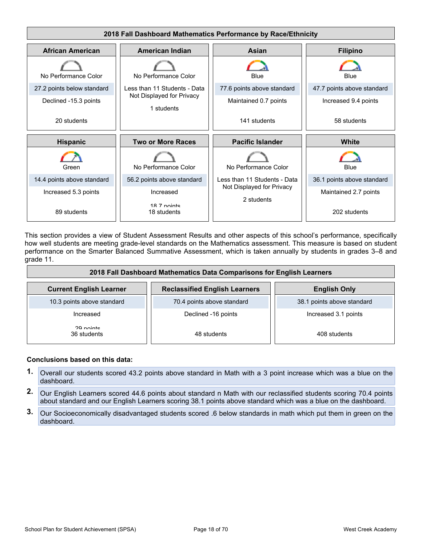

This section provides a view of Student Assessment Results and other aspects of this school's performance, specifically how well students are meeting grade-level standards on the Mathematics assessment. This measure is based on student performance on the Smarter Balanced Summative Assessment, which is taken annually by students in grades 3–8 and grade 11.

| 2018 Fall Dashboard Mathematics Data Comparisons for English Learners |                                      |                            |  |  |  |
|-----------------------------------------------------------------------|--------------------------------------|----------------------------|--|--|--|
| <b>Current English Learner</b>                                        | <b>Reclassified English Learners</b> | <b>English Only</b>        |  |  |  |
| 10.3 points above standard                                            | 70.4 points above standard           | 38.1 points above standard |  |  |  |
| Increased                                                             | Declined -16 points                  | Increased 3.1 points       |  |  |  |
| 20 nointe<br>36 students                                              | 48 students                          | 408 students               |  |  |  |

- **1.** Overall our students scored 43.2 points above standard in Math with a 3 point increase which was a blue on the dashboard.
- **2.** Our English Learners scored 44.6 points about standard n Math with our reclassified students scoring 70.4 points about standard and our English Learners scoring 38.1 points above standard which was a blue on the dashboard.
- **3.** Our Socioeconomically disadvantaged students scored .6 below standards in math which put them in green on the dashboard.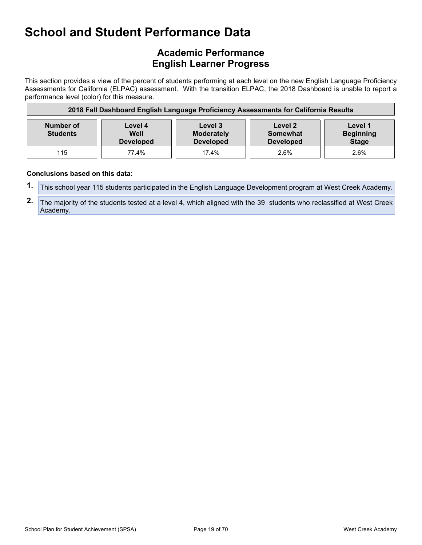## **Academic Performance English Learner Progress**

This section provides a view of the percent of students performing at each level on the new English Language Proficiency Assessments for California (ELPAC) assessment. With the transition ELPAC, the 2018 Dashboard is unable to report a performance level (color) for this measure.

| 2018 Fall Dashboard English Language Proficiency Assessments for California Results |                                     |                                                  |                                                |                                             |
|-------------------------------------------------------------------------------------|-------------------------------------|--------------------------------------------------|------------------------------------------------|---------------------------------------------|
| Number of<br><b>Students</b>                                                        | Level 4<br>Well<br><b>Developed</b> | Level 3<br><b>Moderately</b><br><b>Developed</b> | Level 2<br><b>Somewhat</b><br><b>Developed</b> | Level 1<br><b>Beginning</b><br><b>Stage</b> |
| 115                                                                                 | 77.4%                               | 17.4%                                            | 2.6%                                           | 2.6%                                        |

- **1.** This school year 115 students participated in the English Language Development program at West Creek Academy.
- **2.** The majority of the students tested at a level 4, which aligned with the 39 students who reclassified at West Creek Academy.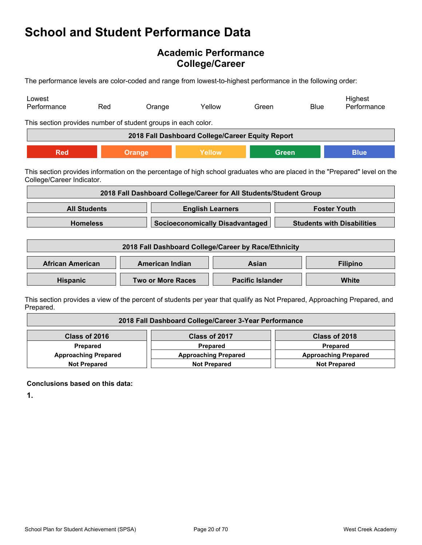## **Academic Performance College/Career**

The performance levels are color-coded and range from lowest-to-highest performance in the following order:

| Lowest<br>Performance                                                                                                                                   | Red                                                                   | Orange                                                            | Yellow | Green                                  |              | <b>Blue</b> | Highest<br>Performance            |
|---------------------------------------------------------------------------------------------------------------------------------------------------------|-----------------------------------------------------------------------|-------------------------------------------------------------------|--------|----------------------------------------|--------------|-------------|-----------------------------------|
| This section provides number of student groups in each color.                                                                                           |                                                                       |                                                                   |        |                                        |              |             |                                   |
|                                                                                                                                                         |                                                                       | 2018 Fall Dashboard College/Career Equity Report                  |        |                                        |              |             |                                   |
| <b>Red</b>                                                                                                                                              |                                                                       | Orange                                                            | Yellow |                                        | <b>Green</b> |             | <b>Blue</b>                       |
| This section provides information on the percentage of high school graduates who are placed in the "Prepared" level on the<br>College/Career Indicator. |                                                                       |                                                                   |        |                                        |              |             |                                   |
|                                                                                                                                                         |                                                                       | 2018 Fall Dashboard College/Career for All Students/Student Group |        |                                        |              |             |                                   |
|                                                                                                                                                         | <b>All Students</b><br><b>Foster Youth</b><br><b>English Learners</b> |                                                                   |        |                                        |              |             |                                   |
|                                                                                                                                                         | <b>Homeless</b>                                                       |                                                                   |        | <b>Socioeconomically Disadvantaged</b> |              |             | <b>Students with Disabilities</b> |
| 2018 Fall Dashboard College/Career by Race/Ethnicity                                                                                                    |                                                                       |                                                                   |        |                                        |              |             |                                   |
| <b>African American</b>                                                                                                                                 |                                                                       | <b>American Indian</b>                                            |        | Asian                                  |              |             | <b>Filipino</b>                   |
| Hispanic                                                                                                                                                |                                                                       | <b>Two or More Races</b>                                          |        | <b>Pacific Islander</b>                |              |             | <b>White</b>                      |
| This section provides a view of the percent of students per vear that qualify as Not Prepared. Approaching Prepared, and                                |                                                                       |                                                                   |        |                                        |              |             |                                   |

This section provides a view of the percent of students per year that qualify as Not Prepared, Approaching Prepared, and Prepared.

| 2018 Fall Dashboard College/Career 3-Year Performance |                             |                             |  |  |
|-------------------------------------------------------|-----------------------------|-----------------------------|--|--|
| Class of 2016                                         | Class of 2017               | Class of 2018               |  |  |
| Prepared                                              | Prepared                    | <b>Prepared</b>             |  |  |
| <b>Approaching Prepared</b>                           | <b>Approaching Prepared</b> | <b>Approaching Prepared</b> |  |  |
| <b>Not Prepared</b>                                   | <b>Not Prepared</b>         | <b>Not Prepared</b>         |  |  |

**Conclusions based on this data:**

**1.**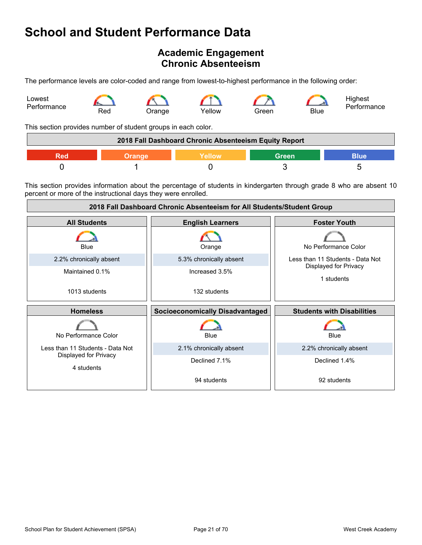## <span id="page-20-0"></span>**Academic Engagement Chronic Absenteeism**

The performance levels are color-coded and range from lowest-to-highest performance in the following order:

![](_page_20_Figure_3.jpeg)

This section provides number of student groups in each color.

| 2018 Fall Dashboard Chronic Absenteeism Equity Report |        |        |       |      |
|-------------------------------------------------------|--------|--------|-------|------|
|                                                       | Orange | Yellow | Green | Blue |
|                                                       |        |        |       |      |

This section provides information about the percentage of students in kindergarten through grade 8 who are absent 10 percent or more of the instructional days they were enrolled.

![](_page_20_Figure_7.jpeg)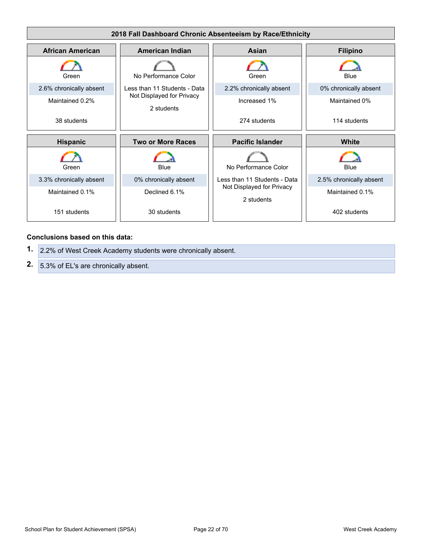![](_page_21_Figure_0.jpeg)

#### **Conclusions based on this data:**

**1.** 2.2% of West Creek Academy students were chronically absent. **2.** 5.3% of EL's are chronically absent.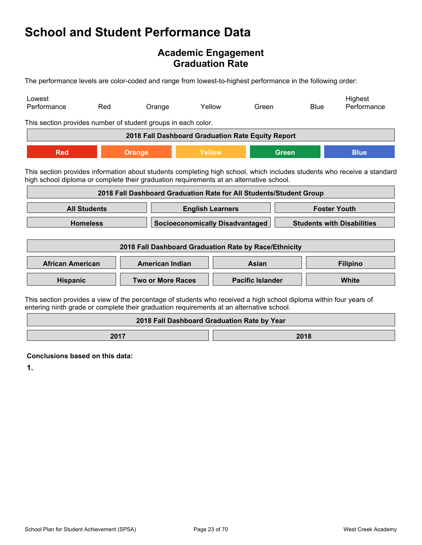### **Academic Engagement Graduation Rate**

The performance levels are color-coded and range from lowest-to-highest performance in the following order:

| Lowest<br>Performance                                                                                                                                                                                          | Red | Orange                                                             |                                             | Yellow                  | Green |              | <b>Blue</b> | Highest<br>Performance                                                                                                  |
|----------------------------------------------------------------------------------------------------------------------------------------------------------------------------------------------------------------|-----|--------------------------------------------------------------------|---------------------------------------------|-------------------------|-------|--------------|-------------|-------------------------------------------------------------------------------------------------------------------------|
| This section provides number of student groups in each color.                                                                                                                                                  |     |                                                                    |                                             |                         |       |              |             |                                                                                                                         |
|                                                                                                                                                                                                                |     | 2018 Fall Dashboard Graduation Rate Equity Report                  |                                             |                         |       |              |             |                                                                                                                         |
| <b>Red</b>                                                                                                                                                                                                     |     | <b>Orange</b>                                                      | Yellow                                      |                         |       | <b>Green</b> |             | <b>Blue</b>                                                                                                             |
| high school diploma or complete their graduation requirements at an alternative school.                                                                                                                        |     |                                                                    |                                             |                         |       |              |             | This section provides information about students completing high school, which includes students who receive a standard |
|                                                                                                                                                                                                                |     | 2018 Fall Dashboard Graduation Rate for All Students/Student Group |                                             |                         |       |              |             |                                                                                                                         |
| <b>All Students</b><br><b>Foster Youth</b><br><b>English Learners</b>                                                                                                                                          |     |                                                                    |                                             |                         |       |              |             |                                                                                                                         |
| <b>Homeless</b>                                                                                                                                                                                                |     |                                                                    | <b>Socioeconomically Disadvantaged</b>      |                         |       |              |             | <b>Students with Disabilities</b>                                                                                       |
| 2018 Fall Dashboard Graduation Rate by Race/Ethnicity                                                                                                                                                          |     |                                                                    |                                             |                         |       |              |             |                                                                                                                         |
| <b>African American</b>                                                                                                                                                                                        |     | <b>American Indian</b>                                             |                                             |                         | Asian |              |             | <b>Filipino</b>                                                                                                         |
| Hispanic                                                                                                                                                                                                       |     | <b>Two or More Races</b>                                           |                                             | <b>Pacific Islander</b> |       |              | White       |                                                                                                                         |
| This section provides a view of the percentage of students who received a high school diploma within four years of<br>entering ninth grade or complete their graduation requirements at an alternative school. |     |                                                                    |                                             |                         |       |              |             |                                                                                                                         |
|                                                                                                                                                                                                                |     |                                                                    | 2018 Fall Dashboard Graduation Rate by Year |                         |       |              |             |                                                                                                                         |

**2017 2018** 

**Conclusions based on this data:**

**1.**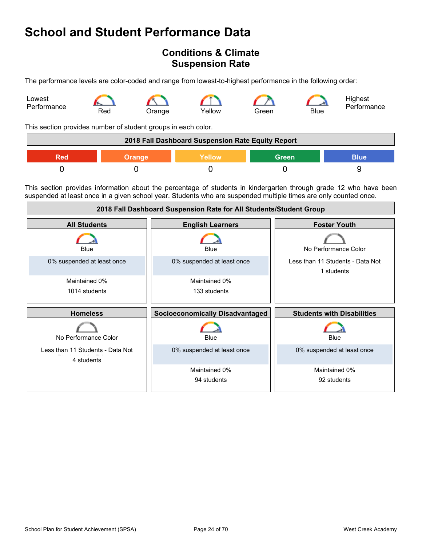## <span id="page-23-0"></span>**Conditions & Climate Suspension Rate**

The performance levels are color-coded and range from lowest-to-highest performance in the following order:

![](_page_23_Figure_3.jpeg)

This section provides number of student groups in each color.

| 2018 Fall Dashboard Suspension Rate Equity Report |               |               |              |             |
|---------------------------------------------------|---------------|---------------|--------------|-------------|
| Red                                               | <b>Orange</b> | <b>Yellow</b> | <b>Green</b> | <b>Blue</b> |
|                                                   |               |               |              |             |

This section provides information about the percentage of students in kindergarten through grade 12 who have been suspended at least once in a given school year. Students who are suspended multiple times are only counted once.

| 2018 Fall Dashboard Suspension Rate for All Students/Student Group |                                        |                                                |  |
|--------------------------------------------------------------------|----------------------------------------|------------------------------------------------|--|
| <b>All Students</b>                                                | <b>English Learners</b>                | <b>Foster Youth</b>                            |  |
| Blue                                                               | Blue                                   | No Performance Color                           |  |
| 0% suspended at least once                                         | 0% suspended at least once             | Less than 11 Students - Data Not<br>1 students |  |
| Maintained 0%                                                      | Maintained 0%                          |                                                |  |
| 1014 students                                                      | 133 students                           |                                                |  |
|                                                                    |                                        |                                                |  |
| <b>Homeless</b>                                                    | <b>Socioeconomically Disadvantaged</b> | <b>Students with Disabilities</b>              |  |
| No Performance Color                                               | Blue                                   | Blue                                           |  |
| Less than 11 Students - Data Not<br>4 students                     | 0% suspended at least once             | 0% suspended at least once                     |  |
|                                                                    | Maintained 0%                          | Maintained 0%                                  |  |
|                                                                    | 94 students                            | 92 students                                    |  |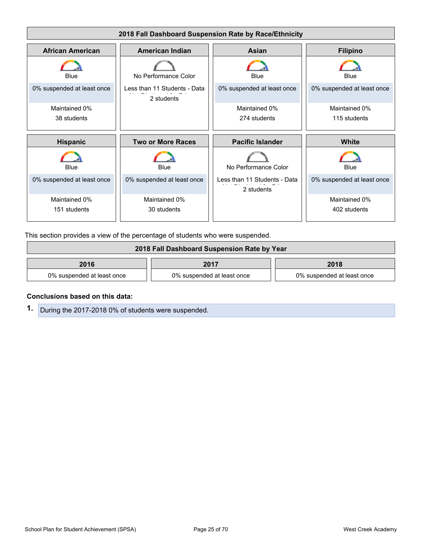![](_page_24_Figure_0.jpeg)

This section provides a view of the percentage of students who were suspended.

| 2018 Fall Dashboard Suspension Rate by Year |                            |                            |  |  |
|---------------------------------------------|----------------------------|----------------------------|--|--|
| 2016<br>2018<br>2017                        |                            |                            |  |  |
| 0% suspended at least once                  | 0% suspended at least once | 0% suspended at least once |  |  |

#### **Conclusions based on this data:**

**1.** During the 2017-2018 0% of students were suspended.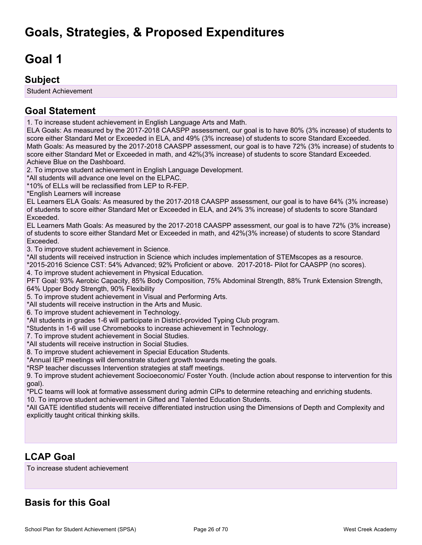# <span id="page-25-1"></span><span id="page-25-0"></span>**Goal 1**

### **Subject**

Student Achievement

## **Goal Statement**

1. To increase student achievement in English Language Arts and Math.

ELA Goals: As measured by the 2017-2018 CAASPP assessment, our goal is to have 80% (3% increase) of students to score either Standard Met or Exceeded in ELA, and 49% (3% increase) of students to score Standard Exceeded. Math Goals: As measured by the 2017-2018 CAASPP assessment, our goal is to have 72% (3% increase) of students to score either Standard Met or Exceeded in math, and 42%(3% increase) of students to score Standard Exceeded. Achieve Blue on the Dashboard.

2. To improve student achievement in English Language Development.

\*All students will advance one level on the ELPAC.

\*10% of ELLs will be reclassified from LEP to R-FEP.

\*English Learners will increase

EL Learners ELA Goals: As measured by the 2017-2018 CAASPP assessment, our goal is to have 64% (3% increase) of students to score either Standard Met or Exceeded in ELA, and 24% 3% increase) of students to score Standard Exceeded.

EL Learners Math Goals: As measured by the 2017-2018 CAASPP assessment, our goal is to have 72% (3% increase) of students to score either Standard Met or Exceeded in math, and 42%(3% increase) of students to score Standard Exceeded.

3. To improve student achievement in Science.

\*All students will received instruction in Science which includes implementation of STEMscopes as a resource.

\*2015-2016 Science CST: 54% Advanced; 92% Proficient or above. 2017-2018- Pilot for CAASPP (no scores). 4. To improve student achievement in Physical Education.

PFT Goal: 93% Aerobic Capacity, 85% Body Composition, 75% Abdominal Strength, 88% Trunk Extension Strength, 64% Upper Body Strength, 90% Flexibility

5. To improve student achievement in Visual and Performing Arts.

\*All students will receive instruction in the Arts and Music.

6. To improve student achievement in Technology.

\*All students in grades 1-6 will participate in District-provided Typing Club program.

\*Students in 1-6 will use Chromebooks to increase achievement in Technology.

7. To improve student achievement in Social Studies.

\*All students will receive instruction in Social Studies.

8. To improve student achievement in Special Education Students.

\*Annual IEP meetings will demonstrate student growth towards meeting the goals.

\*RSP teacher discusses Intervention strategies at staff meetings.

9. To improve student achievement Socioeconomic/ Foster Youth. (Include action about response to intervention for this goal).

\*PLC teams will look at formative assessment during admin CIPs to determine reteaching and enriching students.

10. To improve student achievement in Gifted and Talented Education Students.

\*All GATE identified students will receive differentiated instruction using the Dimensions of Depth and Complexity and explicitly taught critical thinking skills.

## **LCAP Goal**

To increase student achievement

## **Basis for this Goal**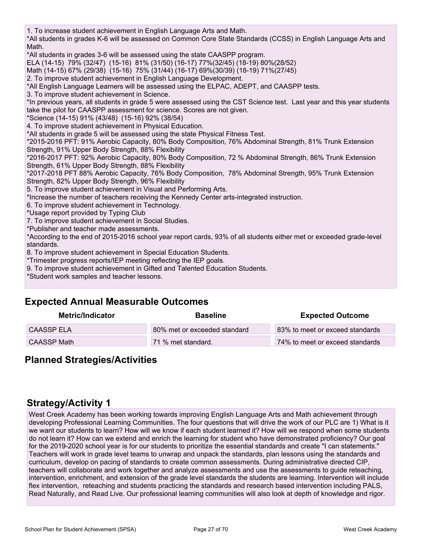1. To increase student achievement in English Language Arts and Math. \*All students in grades K-6 will be assessed on Common Core State Standards (CCSS) in English Language Arts and Math. \*All students in grades 3-6 will be assessed using the state CAASPP program. ELA (14-15) 79% (32/47) (15-16) 81% (31/50) (16-17) 77%(32/45) (18-19) 80%(28/52) Math (14-15) 67% (29/38) (15-16) 75% (31/44) (16-17) 69%(30/39) (18-19) 71%(27/45) 2. To improve student achievement in English Language Development. \*All English Language Learners will be assessed using the ELPAC, ADEPT, and CAASPP tests. 3. To improve student achievement in Science. \*In previous years, all students in grade 5 were assessed using the CST Science test. Last year and this year students take the pilot for CAASPP assessment for science. Scores are not given. \*Science (14-15) 91% (43/48) (15-16) 92% (38/54) 4. To improve student achievement in Physical Education. \*All students in grade 5 will be assessed using the state Physical Fitness Test. \*2015-2016 PFT: 91% Aerobic Capacity, 80% Body Composition, 76% Abdominal Strength, 81% Trunk Extension Strength, 91% Upper Body Strength, 88% Flexibility \*2016-2017 PFT: 92% Aerobic Capacity, 80% Body Composition, 72 % Abdominal Strength, 86% Trunk Extension Strength, 61% Upper Body Strength, 88% Flexibility \*2017-2018 PFT 88% Aerobic Capacity, 76% Body Composition, 78% Abdominal Strength, 95% Trunk Extension Strength, 82% Upper Body Strength, 96% Flexibility 5. To improve student achievement in Visual and Performing Arts. \*Increase the number of teachers receiving the Kennedy Center arts-integrated instruction. 6. To improve student achievement in Technology. \*Usage report provided by Typing Club 7. To improve student achievement in Social Studies. \*Publisher and teacher made assessments. \*According to the end of 2015-2016 school year report cards, 93% of all students either met or exceeded grade-level standards. 8. To improve student achievement in Special Education Students. \*Trimester progress reports/IEP meeting reflecting the IEP goals. 9. To improve student achievement in Gifted and Talented Education Students.

\*Student work samples and teacher lessons.

## **Expected Annual Measurable Outcomes**

| Metric/Indicator   | <b>Baseline</b>              | <b>Expected Outcome</b>         |
|--------------------|------------------------------|---------------------------------|
| <b>CAASSP ELA</b>  | 80% met or exceeded standard | 83% to meet or exceed standards |
| <b>CAASSP Math</b> | 71 % met standard.           | 74% to meet or exceed standards |

### **Planned Strategies/Activities**

## **Strategy/Activity 1**

West Creek Academy has been working towards improving English Language Arts and Math achievement through developing Professional Learning Communities. The four questions that will drive the work of our PLC are 1) What is it we want our students to learn? How will we know if each student learned it? How will we respond when some students do not learn it? How can we extend and enrich the learning for student who have demonstrated proficiency? Our goal for the 2019-2020 school year is for our students to prioritize the essential standards and create "I can statements." Teachers will work in grade level teams to unwrap and unpack the standards, plan lessons using the standards and curriculum, develop on pacing of standards to create common assessments. During administrative directed CIP, teachers will collaborate and work together and analyze assessments and use the assessments to guide reteaching, intervention, enrichment, and extension of the grade level standards the students are learning. Intervention will include flex intervention, reteaching and students practicing the standards and research based intervention including PALS, Read Naturally, and Read Live. Our professional learning communities will also look at depth of knowledge and rigor.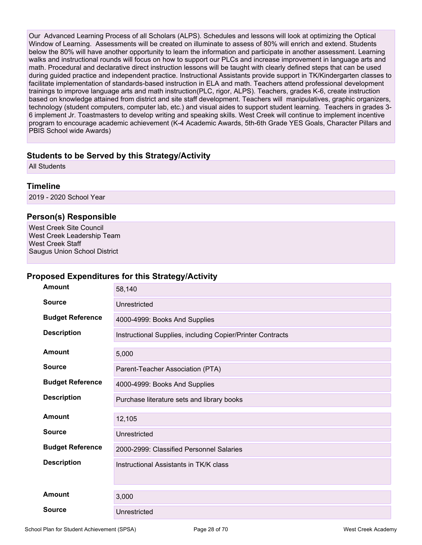Our Advanced Learning Process of all Scholars (ALPS). Schedules and lessons will look at optimizing the Optical Window of Learning. Assessments will be created on illuminate to assess of 80% will enrich and extend. Students below the 80% will have another opportunity to learn the information and participate in another assessment. Learning walks and instructional rounds will focus on how to support our PLCs and increase improvement in language arts and math. Procedural and declarative direct instruction lessons will be taught with clearly defined steps that can be used during guided practice and independent practice. Instructional Assistants provide support in TK/Kindergarten classes to facilitate implementation of standards-based instruction in ELA and math. Teachers attend professional development trainings to improve language arts and math instruction(PLC, rigor, ALPS). Teachers, grades K-6, create instruction based on knowledge attained from district and site staff development. Teachers will manipulatives, graphic organizers, technology (student computers, computer lab, etc.) and visual aides to support student learning. Teachers in grades 3- 6 implement Jr. Toastmasters to develop writing and speaking skills. West Creek will continue to implement incentive program to encourage academic achievement (K-4 Academic Awards, 5th-6th Grade YES Goals, Character Pillars and PBIS School wide Awards)

### **Students to be Served by this Strategy/Activity**

All Students

### **Timeline**

2019 - 2020 School Year

### **Person(s) Responsible**

West Creek Site Council West Creek Leadership Team West Creek Staff Saugus Union School District

#### **Proposed Expenditures for this Strategy/Activity**

| Amount                  | 58,140                                                     |
|-------------------------|------------------------------------------------------------|
| <b>Source</b>           | Unrestricted                                               |
| <b>Budget Reference</b> | 4000-4999: Books And Supplies                              |
| <b>Description</b>      | Instructional Supplies, including Copier/Printer Contracts |
| Amount                  | 5,000                                                      |
| <b>Source</b>           | Parent-Teacher Association (PTA)                           |
| <b>Budget Reference</b> | 4000-4999: Books And Supplies                              |
| <b>Description</b>      | Purchase literature sets and library books                 |
| Amount                  | 12,105                                                     |
| <b>Source</b>           | Unrestricted                                               |
| <b>Budget Reference</b> | 2000-2999: Classified Personnel Salaries                   |
| <b>Description</b>      | Instructional Assistants in TK/K class                     |
| Amount                  | 3,000                                                      |
| <b>Source</b>           | Unrestricted                                               |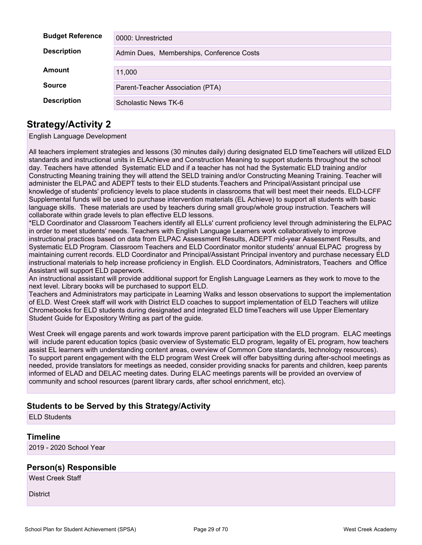| <b>Budget Reference</b> | 0000: Unrestricted                        |
|-------------------------|-------------------------------------------|
| <b>Description</b>      | Admin Dues, Memberships, Conference Costs |
| Amount                  | 11,000                                    |
| <b>Source</b>           | Parent-Teacher Association (PTA)          |
| <b>Description</b>      | Scholastic News TK-6                      |

### **Strategy/Activity 2**

English Language Development

All teachers implement strategies and lessons (30 minutes daily) during designated ELD timeTeachers will utilized ELD standards and instructional units in ELAchieve and Construction Meaning to support students throughout the school day. Teachers have attended Systematic ELD and if a teacher has not had the Systematic ELD training and/or Constructing Meaning training they will attend the SELD training and/or Constructing Meaning Training. Teacher will administer the ELPAC and ADEPT tests to their ELD students.Teachers and Principal/Assistant principal use knowledge of students' proficiency levels to place students in classrooms that will best meet their needs. ELD-LCFF Supplemental funds will be used to purchase intervention materials (EL Achieve) to support all students with basic language skills. These materials are used by teachers during small group/whole group instruction. Teachers will collaborate within grade levels to plan effective ELD lessons.

\*ELD Coordinator and Classroom Teachers identify all ELLs' current proficiency level through administering the ELPAC in order to meet students' needs. Teachers with English Language Learners work collaboratively to improve instructional practices based on data from ELPAC Assessment Results, ADEPT mid-year Assessment Results, and Systematic ELD Program. Classroom Teachers and ELD Coordinator monitor students' annual ELPAC progress by maintaining current records. ELD Coordinator and Principal/Assistant Principal inventory and purchase necessary ELD instructional materials to help increase proficiency in English. ELD Coordinators, Administrators, Teachers and Office Assistant will support ELD paperwork.

An instructional assistant will provide additional support for English Language Learners as they work to move to the next level. Library books will be purchased to support ELD.

Teachers and Administrators may participate in Learning Walks and lesson observations to support the implementation of ELD. West Creek staff will work with District ELD coaches to support implementation of ELD Teachers will utilize Chromebooks for ELD students during designated and integrated ELD timeTeachers will use Upper Elementary Student Guide for Expository Writing as part of the guide.

West Creek will engage parents and work towards improve parent participation with the ELD program. ELAC meetings will include parent education topics (basic overview of Systematic ELD program, legality of EL program, how teachers assist EL learners with understanding content areas, overview of Common Core standards, technology resources). To support parent engagement with the ELD program West Creek will offer babysitting during after-school meetings as needed, provide translators for meetings as needed, consider providing snacks for parents and children, keep parents informed of ELAD and DELAC meeting dates. During ELAC meetings parents will be provided an overview of community and school resources (parent library cards, after school enrichment, etc).

### **Students to be Served by this Strategy/Activity**

ELD Students

#### **Timeline**

2019 - 2020 School Year

#### **Person(s) Responsible**

West Creek Staff

**District**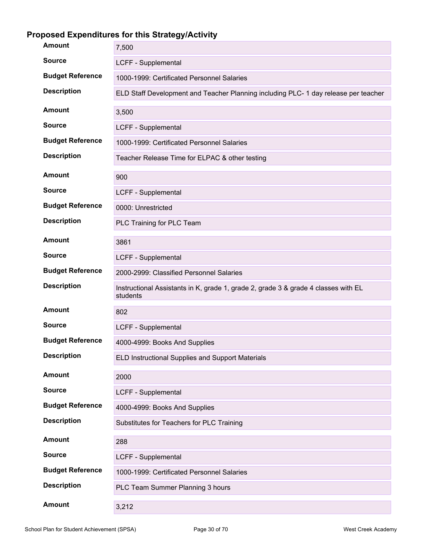# **Proposed Expenditures for this Strategy/Activity**

| <b>Amount</b>           | 7,500                                                                                          |
|-------------------------|------------------------------------------------------------------------------------------------|
| <b>Source</b>           | LCFF - Supplemental                                                                            |
| <b>Budget Reference</b> | 1000-1999: Certificated Personnel Salaries                                                     |
| <b>Description</b>      | ELD Staff Development and Teacher Planning including PLC- 1 day release per teacher            |
| <b>Amount</b>           | 3,500                                                                                          |
| <b>Source</b>           | LCFF - Supplemental                                                                            |
| <b>Budget Reference</b> | 1000-1999: Certificated Personnel Salaries                                                     |
| <b>Description</b>      | Teacher Release Time for ELPAC & other testing                                                 |
| Amount                  | 900                                                                                            |
| <b>Source</b>           | LCFF - Supplemental                                                                            |
| <b>Budget Reference</b> | 0000: Unrestricted                                                                             |
| <b>Description</b>      | PLC Training for PLC Team                                                                      |
| Amount                  | 3861                                                                                           |
| <b>Source</b>           | LCFF - Supplemental                                                                            |
| <b>Budget Reference</b> | 2000-2999: Classified Personnel Salaries                                                       |
| <b>Description</b>      | Instructional Assistants in K, grade 1, grade 2, grade 3 & grade 4 classes with EL<br>students |
| <b>Amount</b>           | 802                                                                                            |
| <b>Source</b>           | LCFF - Supplemental                                                                            |
| <b>Budget Reference</b> | 4000-4999: Books And Supplies                                                                  |
| <b>Description</b>      | ELD Instructional Supplies and Support Materials                                               |
| <b>Amount</b>           | 2000                                                                                           |
| <b>Source</b>           | LCFF - Supplemental                                                                            |
| <b>Budget Reference</b> | 4000-4999: Books And Supplies                                                                  |
| <b>Description</b>      | Substitutes for Teachers for PLC Training                                                      |
| <b>Amount</b>           | 288                                                                                            |
| <b>Source</b>           | LCFF - Supplemental                                                                            |
| <b>Budget Reference</b> | 1000-1999: Certificated Personnel Salaries                                                     |
| <b>Description</b>      | PLC Team Summer Planning 3 hours                                                               |
| <b>Amount</b>           | 3,212                                                                                          |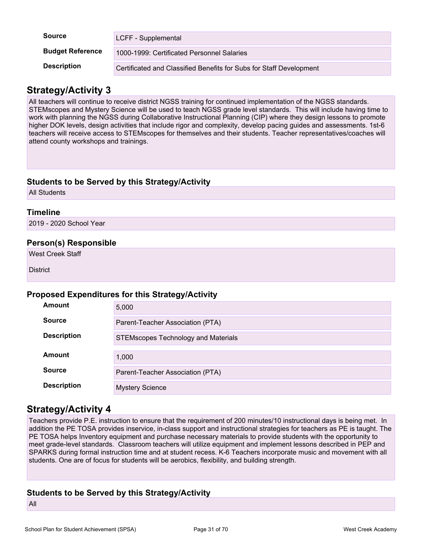| <b>Source</b>           | LCFF - Supplemental                                                 |
|-------------------------|---------------------------------------------------------------------|
| <b>Budget Reference</b> | 1000-1999: Certificated Personnel Salaries                          |
| <b>Description</b>      | Certificated and Classified Benefits for Subs for Staff Development |

### **Strategy/Activity 3**

All teachers will continue to receive district NGSS training for continued implementation of the NGSS standards. STEMscopes and Mystery Science will be used to teach NGSS grade level standards. This will include having time to work with planning the NGSS during Collaborative Instructional Planning (CIP) where they design lessons to promote higher DOK levels, design activities that include rigor and complexity, develop pacing guides and assessments. 1st-6 teachers will receive access to STEMscopes for themselves and their students. Teacher representatives/coaches will attend county workshops and trainings.

### **Students to be Served by this Strategy/Activity**

All Students

### **Timeline**

2019 - 2020 School Year

### **Person(s) Responsible**

West Creek Staff

**District** 

#### **Proposed Expenditures for this Strategy/Activity**

| Amount             | 5,000                                      |
|--------------------|--------------------------------------------|
| <b>Source</b>      | Parent-Teacher Association (PTA)           |
| <b>Description</b> | <b>STEMscopes Technology and Materials</b> |
|                    |                                            |
| Amount             | 1,000                                      |
| <b>Source</b>      | Parent-Teacher Association (PTA)           |
| <b>Description</b> | <b>Mystery Science</b>                     |

### **Strategy/Activity 4**

Teachers provide P.E. instruction to ensure that the requirement of 200 minutes/10 instructional days is being met. In addition the PE TOSA provides inservice, in-class support and instructional strategies for teachers as PE is taught. The PE TOSA helps Inventory equipment and purchase necessary materials to provide students with the opportunity to meet grade-level standards. Classroom teachers will utilize equipment and implement lessons described in PEP and SPARKS during formal instruction time and at student recess. K-6 Teachers incorporate music and movement with all students. One are of focus for students will be aerobics, flexibility, and building strength.

### **Students to be Served by this Strategy/Activity**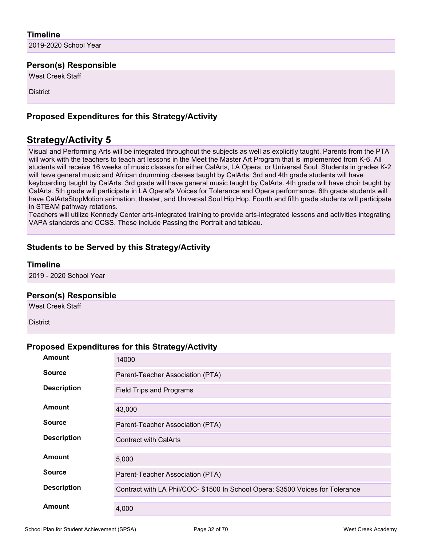### **Timeline**

2019-2020 School Year

#### **Person(s) Responsible**

West Creek Staff

**District** 

### **Proposed Expenditures for this Strategy/Activity**

## **Strategy/Activity 5**

Visual and Performing Arts will be integrated throughout the subjects as well as explicitly taught. Parents from the PTA will work with the teachers to teach art lessons in the Meet the Master Art Program that is implemented from K-6. All students will receive 16 weeks of music classes for either CalArts, LA Opera, or Universal Soul. Students in grades K-2 will have general music and African drumming classes taught by CalArts. 3rd and 4th grade students will have keyboarding taught by CalArts. 3rd grade will have general music taught by CalArts. 4th grade will have choir taught by CalArts. 5th grade will participate in LA Operal's Voices for Tolerance and Opera performance. 6th grade students will have CalArtsStopMotion animation, theater, and Universal Soul Hip Hop. Fourth and fifth grade students will participate in STEAM pathway rotations.

Teachers will utilize Kennedy Center arts-integrated training to provide arts-integrated lessons and activities integrating VAPA standards and CCSS. These include Passing the Portrait and tableau.

### **Students to be Served by this Strategy/Activity**

#### **Timeline**

2019 - 2020 School Year

#### **Person(s) Responsible**

West Creek Staff

**District** 

#### **Proposed Expenditures for this Strategy/Activity**

| Amount             | 14000                                                                          |
|--------------------|--------------------------------------------------------------------------------|
| <b>Source</b>      | Parent-Teacher Association (PTA)                                               |
| <b>Description</b> | Field Trips and Programs                                                       |
| <b>Amount</b>      | 43,000                                                                         |
| <b>Source</b>      | Parent-Teacher Association (PTA)                                               |
| <b>Description</b> | <b>Contract with CalArts</b>                                                   |
| Amount             | 5,000                                                                          |
| <b>Source</b>      | Parent-Teacher Association (PTA)                                               |
| <b>Description</b> | Contract with LA Phil/COC- \$1500 In School Opera; \$3500 Voices for Tolerance |
| <b>Amount</b>      | 4,000                                                                          |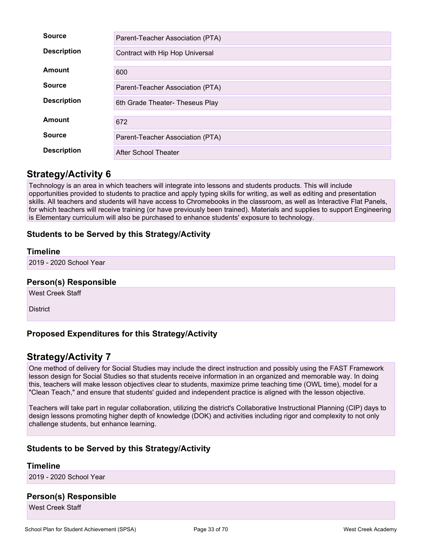| <b>Source</b>      | Parent-Teacher Association (PTA) |
|--------------------|----------------------------------|
| <b>Description</b> | Contract with Hip Hop Universal  |
| Amount             | 600                              |
| <b>Source</b>      | Parent-Teacher Association (PTA) |
| <b>Description</b> | 6th Grade Theater- Theseus Play  |
| Amount             | 672                              |
| <b>Source</b>      | Parent-Teacher Association (PTA) |
| <b>Description</b> | After School Theater             |

### **Strategy/Activity 6**

Technology is an area in which teachers will integrate into lessons and students products. This will include opportunities provided to students to practice and apply typing skills for writing, as well as editing and presentation skills. All teachers and students will have access to Chromebooks in the classroom, as well as Interactive Flat Panels, for which teachers will receive training (or have previously been trained). Materials and supplies to support Engineering is Elementary curriculum will also be purchased to enhance students' exposure to technology.

### **Students to be Served by this Strategy/Activity**

#### **Timeline**

2019 - 2020 School Year

#### **Person(s) Responsible**

West Creek Staff

**District** 

### **Proposed Expenditures for this Strategy/Activity**

### **Strategy/Activity 7**

One method of delivery for Social Studies may include the direct instruction and possibly using the FAST Framework lesson design for Social Studies so that students receive information in an organized and memorable way. In doing this, teachers will make lesson objectives clear to students, maximize prime teaching time (OWL time), model for a "Clean Teach," and ensure that students' guided and independent practice is aligned with the lesson objective.

Teachers will take part in regular collaboration, utilizing the district's Collaborative Instructional Planning (CIP) days to design lessons promoting higher depth of knowledge (DOK) and activities including rigor and complexity to not only challenge students, but enhance learning.

### **Students to be Served by this Strategy/Activity**

#### **Timeline**

2019 - 2020 School Year

#### **Person(s) Responsible**

West Creek Staff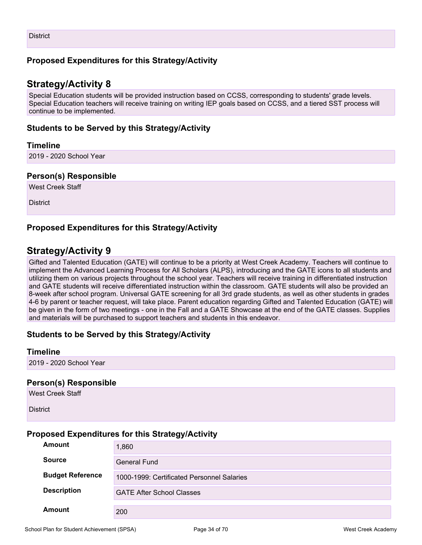### **Proposed Expenditures for this Strategy/Activity**

### **Strategy/Activity 8**

Special Education students will be provided instruction based on CCSS, corresponding to students' grade levels. Special Education teachers will receive training on writing IEP goals based on CCSS, and a tiered SST process will continue to be implemented.

#### **Students to be Served by this Strategy/Activity**

#### **Timeline**

2019 - 2020 School Year

#### **Person(s) Responsible**

West Creek Staff

**District** 

### **Proposed Expenditures for this Strategy/Activity**

## **Strategy/Activity 9**

Gifted and Talented Education (GATE) will continue to be a priority at West Creek Academy. Teachers will continue to implement the Advanced Learning Process for All Scholars (ALPS), introducing and the GATE icons to all students and utilizing them on various projects throughout the school year. Teachers will receive training in differentiated instruction and GATE students will receive differentiated instruction within the classroom. GATE students will also be provided an 8-week after school program. Universal GATE screening for all 3rd grade students, as well as other students in grades 4-6 by parent or teacher request, will take place. Parent education regarding Gifted and Talented Education (GATE) will be given in the form of two meetings - one in the Fall and a GATE Showcase at the end of the GATE classes. Supplies and materials will be purchased to support teachers and students in this endeavor.

### **Students to be Served by this Strategy/Activity**

#### **Timeline**

2019 - 2020 School Year

#### **Person(s) Responsible**

West Creek Staff

**District** 

#### **Proposed Expenditures for this Strategy/Activity**

| Amount                                                                                                                          | 1,860               |
|---------------------------------------------------------------------------------------------------------------------------------|---------------------|
| <b>Source</b>                                                                                                                   | <b>General Fund</b> |
| <b>Budget Reference</b><br>1000-1999: Certificated Personnel Salaries<br><b>Description</b><br><b>GATE After School Classes</b> |                     |
|                                                                                                                                 |                     |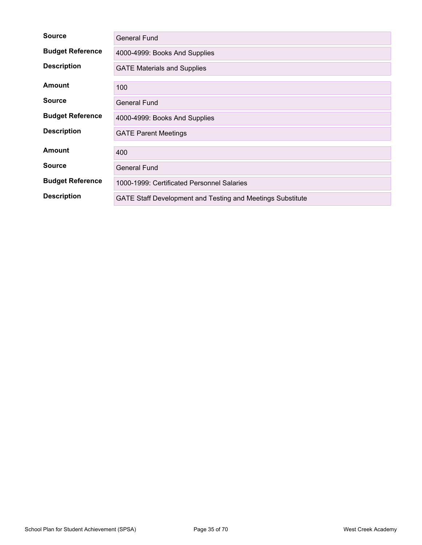| <b>Source</b>           | <b>General Fund</b>                                               |
|-------------------------|-------------------------------------------------------------------|
| <b>Budget Reference</b> | 4000-4999: Books And Supplies                                     |
| <b>Description</b>      | <b>GATE Materials and Supplies</b>                                |
| Amount                  | 100                                                               |
| <b>Source</b>           | <b>General Fund</b>                                               |
| <b>Budget Reference</b> | 4000-4999: Books And Supplies                                     |
| <b>Description</b>      | <b>GATE Parent Meetings</b>                                       |
| <b>Amount</b>           | 400                                                               |
| <b>Source</b>           | <b>General Fund</b>                                               |
| <b>Budget Reference</b> | 1000-1999: Certificated Personnel Salaries                        |
| <b>Description</b>      | <b>GATE Staff Development and Testing and Meetings Substitute</b> |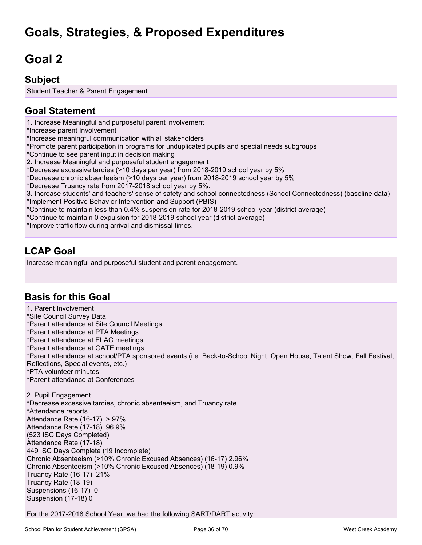# **Goals, Strategies, & Proposed Expenditures**

# <span id="page-35-0"></span>**Goal 2**

## **Subject**

Student Teacher & Parent Engagement

## **Goal Statement**

1. Increase Meaningful and purposeful parent involvement

\*Increase parent Involvement

\*Increase meaningful communication with all stakeholders

\*Promote parent participation in programs for unduplicated pupils and special needs subgroups

\*Continue to see parent input in decision making

2. Increase Meaningful and purposeful student engagement

\*Decrease excessive tardies (>10 days per year) from 2018-2019 school year by 5%

\*Decrease chronic absenteeism (>10 days per year) from 2018-2019 school year by 5%

\*Decrease Truancy rate from 2017-2018 school year by 5%.

3. Increase students' and teachers' sense of safety and school connectedness (School Connectedness) (baseline data) \*Implement Positive Behavior Intervention and Support (PBIS)

\*Continue to maintain less than 0.4% suspension rate for 2018-2019 school year (district average)

\*Continue to maintain 0 expulsion for 2018-2019 school year (district average)

\*Improve traffic flow during arrival and dismissal times.

## **LCAP Goal**

Increase meaningful and purposeful student and parent engagement.

### **Basis for this Goal**

1. Parent Involvement \*Site Council Survey Data \*Parent attendance at Site Council Meetings \*Parent attendance at PTA Meetings \*Parent attendance at ELAC meetings \*Parent attendance at GATE meetings \*Parent attendance at school/PTA sponsored events (i.e. Back-to-School Night, Open House, Talent Show, Fall Festival, Reflections, Special events, etc.) \*PTA volunteer minutes \*Parent attendance at Conferences

2. Pupil Engagement \*Decrease excessive tardies, chronic absenteeism, and Truancy rate \*Attendance reports Attendance Rate (16-17) > 97% Attendance Rate (17-18) 96.9% (523 ISC Days Completed) Attendance Rate (17-18) 449 ISC Days Complete (19 Incomplete) Chronic Absenteeism (>10% Chronic Excused Absences) (16-17) 2.96% Chronic Absenteeism (>10% Chronic Excused Absences) (18-19) 0.9% Truancy Rate (16-17) 21% Truancy Rate (18-19) Suspensions (16-17) 0 Suspension (17-18) 0

For the 2017-2018 School Year, we had the following SART/DART activity: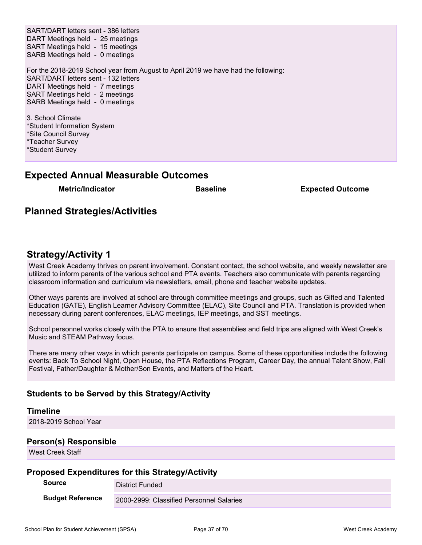SART/DART letters sent - 386 letters DART Meetings held - 25 meetings SART Meetings held - 15 meetings SARB Meetings held - 0 meetings For the 2018-2019 School year from August to April 2019 we have had the following: SART/DART letters sent - 132 letters DART Meetings held - 7 meetings SART Meetings held - 2 meetings SARB Meetings held - 0 meetings 3. School Climate

\*Student Information System \*Site Council Survey \*Teacher Survey \*Student Survey

### **Expected Annual Measurable Outcomes**

**Metric/Indicator Baseline Expected Outcome**

## **Planned Strategies/Activities**

### **Strategy/Activity 1**

West Creek Academy thrives on parent involvement. Constant contact, the school website, and weekly newsletter are utilized to inform parents of the various school and PTA events. Teachers also communicate with parents regarding classroom information and curriculum via newsletters, email, phone and teacher website updates.

Other ways parents are involved at school are through committee meetings and groups, such as Gifted and Talented Education (GATE), English Learner Advisory Committee (ELAC), Site Council and PTA. Translation is provided when necessary during parent conferences, ELAC meetings, IEP meetings, and SST meetings.

School personnel works closely with the PTA to ensure that assemblies and field trips are aligned with West Creek's Music and STEAM Pathway focus.

There are many other ways in which parents participate on campus. Some of these opportunities include the following events: Back To School Night, Open House, the PTA Reflections Program, Career Day, the annual Talent Show, Fall Festival, Father/Daughter & Mother/Son Events, and Matters of the Heart.

### **Students to be Served by this Strategy/Activity**

#### **Timeline**

2018-2019 School Year

#### **Person(s) Responsible**

West Creek Staff

#### **Proposed Expenditures for this Strategy/Activity**

**Source District Funded Budget Reference** 2000-2999: Classified Personnel Salaries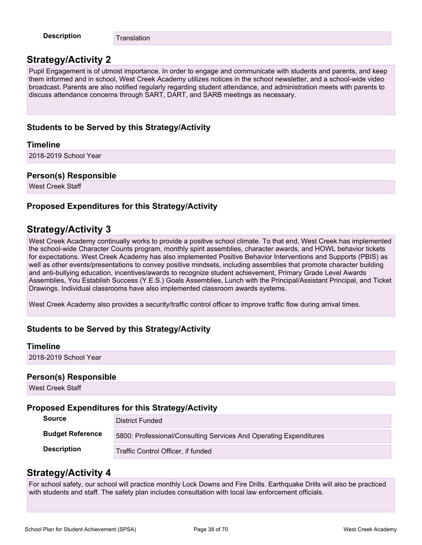**Description** Translation

## **Strategy/Activity 2**

Pupil Engagement is of utmost importance. In order to engage and communicate with students and parents, and keep them informed and in school, West Creek Academy utilizes notices in the school newsletter, and a school-wide video broadcast. Parents are also notified regularly regarding student attendance, and administration meets with parents to discuss attendance concerns through SART, DART, and SARB meetings as necessary.

### **Students to be Served by this Strategy/Activity**

### **Timeline**

2018-2019 School Year

### **Person(s) Responsible**

West Creek Staff

### **Proposed Expenditures for this Strategy/Activity**

### **Strategy/Activity 3**

West Creek Academy continually works to provide a positive school climate. To that end, West Creek has implemented the school-wide Character Counts program, monthly spirit assemblies, character awards, and HOWL behavior tickets for expectations. West Creek Academy has also implemented Positive Behavior Interventions and Supports (PBIS) as well as other events/presentations to convey positive mindsets, including assemblies that promote character building and anti-bullying education, incentives/awards to recognize student achievement, Primary Grade Level Awards Assemblies, You Establish Success (Y.E.S.) Goals Assemblies, Lunch with the Principal/Assistant Principal, and Ticket Drawings. Individual classrooms have also implemented classroom awards systems.

West Creek Academy also provides a security/traffic control officer to improve traffic flow during arrival times.

### **Students to be Served by this Strategy/Activity**

#### **Timeline**

2018-2019 School Year

#### **Person(s) Responsible**

West Creek Staff

### **Proposed Expenditures for this Strategy/Activity**

| <b>Source</b>           | District Funded                                                   |
|-------------------------|-------------------------------------------------------------------|
| <b>Budget Reference</b> | 5800: Professional/Consulting Services And Operating Expenditures |
| <b>Description</b>      | Traffic Control Officer, if funded                                |

### **Strategy/Activity 4**

For school safety, our school will practice monthly Lock Downs and Fire Drills. Earthquake Drills will also be practiced with students and staff. The safety plan includes consultation with local law enforcement officials.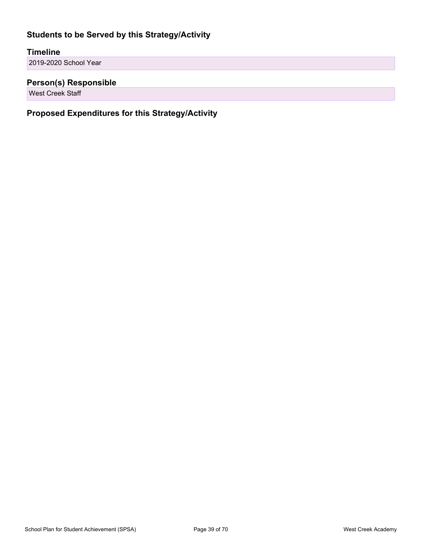### **Students to be Served by this Strategy/Activity**

### **Timeline**

2019-2020 School Year

### **Person(s) Responsible**

West Creek Staff

## **Proposed Expenditures for this Strategy/Activity**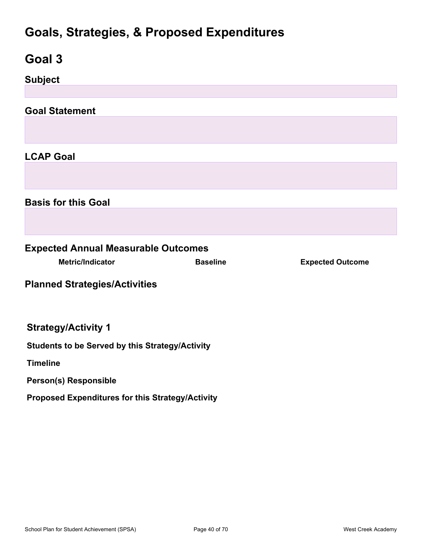# **Goals, Strategies, & Proposed Expenditures**

<span id="page-39-0"></span>

| Goal 3                                                 |                 |                         |  |  |
|--------------------------------------------------------|-----------------|-------------------------|--|--|
| <b>Subject</b>                                         |                 |                         |  |  |
|                                                        |                 |                         |  |  |
| <b>Goal Statement</b>                                  |                 |                         |  |  |
|                                                        |                 |                         |  |  |
| <b>LCAP Goal</b>                                       |                 |                         |  |  |
|                                                        |                 |                         |  |  |
| <b>Basis for this Goal</b>                             |                 |                         |  |  |
|                                                        |                 |                         |  |  |
| <b>Expected Annual Measurable Outcomes</b>             |                 |                         |  |  |
| <b>Metric/Indicator</b>                                | <b>Baseline</b> | <b>Expected Outcome</b> |  |  |
| <b>Planned Strategies/Activities</b>                   |                 |                         |  |  |
| <b>Strategy/Activity 1</b>                             |                 |                         |  |  |
| <b>Students to be Served by this Strategy/Activity</b> |                 |                         |  |  |
| <b>Timeline</b>                                        |                 |                         |  |  |
| Person(s) Responsible                                  |                 |                         |  |  |
| Proposed Expenditures for this Strategy/Activity       |                 |                         |  |  |
|                                                        |                 |                         |  |  |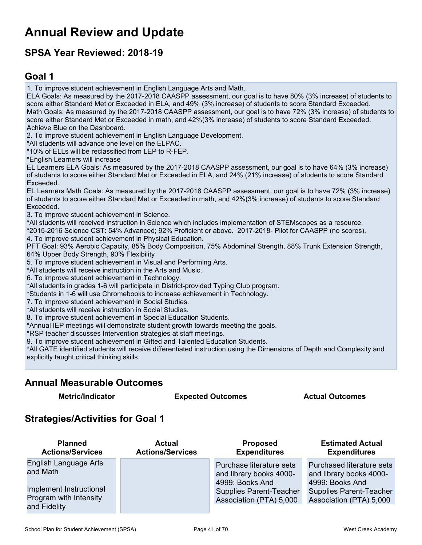# <span id="page-40-0"></span>**Annual Review and Update**

# **SPSA Year Reviewed: 2018-19**

## <span id="page-40-1"></span>**Goal 1**

1. To improve student achievement in English Language Arts and Math.

ELA Goals: As measured by the 2017-2018 CAASPP assessment, our goal is to have 80% (3% increase) of students to score either Standard Met or Exceeded in ELA, and 49% (3% increase) of students to score Standard Exceeded. Math Goals: As measured by the 2017-2018 CAASPP assessment, our goal is to have 72% (3% increase) of students to score either Standard Met or Exceeded in math, and 42%(3% increase) of students to score Standard Exceeded. Achieve Blue on the Dashboard.

2. To improve student achievement in English Language Development.

\*All students will advance one level on the ELPAC.

\*10% of ELLs will be reclassified from LEP to R-FEP.

\*English Learners will increase

EL Learners ELA Goals: As measured by the 2017-2018 CAASPP assessment, our goal is to have 64% (3% increase) of students to score either Standard Met or Exceeded in ELA, and 24% (21% increase) of students to score Standard Exceeded.

EL Learners Math Goals: As measured by the 2017-2018 CAASPP assessment, our goal is to have 72% (3% increase) of students to score either Standard Met or Exceeded in math, and 42%(3% increase) of students to score Standard Exceeded.

3. To improve student achievement in Science.

\*All students will received instruction in Science which includes implementation of STEMscopes as a resource.

\*2015-2016 Science CST: 54% Advanced; 92% Proficient or above. 2017-2018- Pilot for CAASPP (no scores).

4. To improve student achievement in Physical Education.

PFT Goal: 93% Aerobic Capacity, 85% Body Composition, 75% Abdominal Strength, 88% Trunk Extension Strength, 64% Upper Body Strength, 90% Flexibility

5. To improve student achievement in Visual and Performing Arts.

\*All students will receive instruction in the Arts and Music.

6. To improve student achievement in Technology.

\*All students in grades 1-6 will participate in District-provided Typing Club program.

\*Students in 1-6 will use Chromebooks to increase achievement in Technology.

7. To improve student achievement in Social Studies.

\*All students will receive instruction in Social Studies.

8. To improve student achievement in Special Education Students.

\*Annual IEP meetings will demonstrate student growth towards meeting the goals.

\*RSP teacher discusses Intervention strategies at staff meetings.

9. To improve student achievement in Gifted and Talented Education Students.

\*All GATE identified students will receive differentiated instruction using the Dimensions of Depth and Complexity and explicitly taught critical thinking skills.

### **Annual Measurable Outcomes**

**Metric/Indicator Expected Outcomes Actual Outcomes**

### **Strategies/Activities for Goal 1**

| <b>Planned</b>          | <b>Actual</b>           | <b>Proposed</b>                | <b>Estimated Actual</b>        |
|-------------------------|-------------------------|--------------------------------|--------------------------------|
| <b>Actions/Services</b> | <b>Actions/Services</b> | <b>Expenditures</b>            | <b>Expenditures</b>            |
| English Language Arts   |                         | Purchase literature sets       | Purchased literature sets      |
| and Math                |                         | and library books 4000-        | and library books 4000-        |
| Implement Instructional |                         | 4999: Books And                | 4999: Books And                |
| Program with Intensity  |                         | <b>Supplies Parent-Teacher</b> | <b>Supplies Parent-Teacher</b> |
| and Fidelity            |                         | Association (PTA) 5,000        | Association (PTA) 5,000        |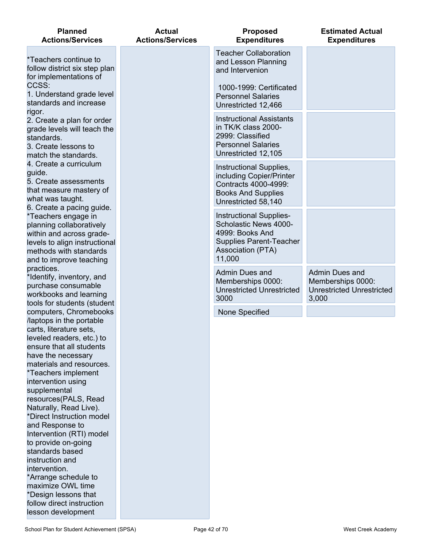| <b>Planned</b><br><b>Actions/Services</b>                                                                                                                                                      | <b>Actual</b><br><b>Actions/Services</b> | <b>Proposed</b><br><b>Expenditures</b>                                                                                                             | <b>Estimated Actual</b><br><b>Expenditures</b>                                   |
|------------------------------------------------------------------------------------------------------------------------------------------------------------------------------------------------|------------------------------------------|----------------------------------------------------------------------------------------------------------------------------------------------------|----------------------------------------------------------------------------------|
| *Teachers continue to<br>follow district six step plan<br>for implementations of                                                                                                               |                                          | <b>Teacher Collaboration</b><br>and Lesson Planning<br>and Intervenion                                                                             |                                                                                  |
| CCSS:<br>1. Understand grade level<br>standards and increase                                                                                                                                   |                                          | 1000-1999: Certificated<br><b>Personnel Salaries</b><br>Unrestricted 12,466                                                                        |                                                                                  |
| rigor.<br>2. Create a plan for order<br>grade levels will teach the<br>standards.<br>3. Create lessons to<br>match the standards.                                                              |                                          | <b>Instructional Assistants</b><br>in TK/K class 2000-<br>2999: Classified<br><b>Personnel Salaries</b><br>Unrestricted 12,105                     |                                                                                  |
| 4. Create a curriculum<br>guide.<br>5. Create assessments<br>that measure mastery of<br>what was taught.                                                                                       |                                          | Instructional Supplies,<br>including Copier/Printer<br>Contracts 4000-4999:<br><b>Books And Supplies</b><br>Unrestricted 58,140                    |                                                                                  |
| 6. Create a pacing guide.<br>*Teachers engage in<br>planning collaboratively<br>within and across grade-<br>levels to align instructional<br>methods with standards<br>and to improve teaching |                                          | <b>Instructional Supplies-</b><br>Scholastic News 4000-<br>4999: Books And<br><b>Supplies Parent-Teacher</b><br><b>Association (PTA)</b><br>11,000 |                                                                                  |
| practices.<br>*Identify, inventory, and<br>purchase consumable<br>workbooks and learning<br>tools for students (student                                                                        |                                          | Admin Dues and<br>Memberships 0000:<br><b>Unrestricted Unrestricted</b><br>3000                                                                    | Admin Dues and<br>Memberships 0000:<br><b>Unrestricted Unrestricted</b><br>3,000 |
| computers, Chromebooks                                                                                                                                                                         |                                          | None Specified                                                                                                                                     |                                                                                  |
| laptops in the portable                                                                                                                                                                        |                                          |                                                                                                                                                    |                                                                                  |
| carts, literature sets<br>leveled readers, etc.) to                                                                                                                                            |                                          |                                                                                                                                                    |                                                                                  |
| ensure that all students                                                                                                                                                                       |                                          |                                                                                                                                                    |                                                                                  |
| have the necessary                                                                                                                                                                             |                                          |                                                                                                                                                    |                                                                                  |
| materials and resources.                                                                                                                                                                       |                                          |                                                                                                                                                    |                                                                                  |
| *Teachers implement                                                                                                                                                                            |                                          |                                                                                                                                                    |                                                                                  |
| intervention using<br>supplemental                                                                                                                                                             |                                          |                                                                                                                                                    |                                                                                  |
| resources(PALS, Read                                                                                                                                                                           |                                          |                                                                                                                                                    |                                                                                  |
| Naturally, Read Live).                                                                                                                                                                         |                                          |                                                                                                                                                    |                                                                                  |
| *Direct Instruction model                                                                                                                                                                      |                                          |                                                                                                                                                    |                                                                                  |
| and Response to<br>Intervention (RTI) model                                                                                                                                                    |                                          |                                                                                                                                                    |                                                                                  |
| to provide on-going                                                                                                                                                                            |                                          |                                                                                                                                                    |                                                                                  |
| standards based                                                                                                                                                                                |                                          |                                                                                                                                                    |                                                                                  |
| instruction and                                                                                                                                                                                |                                          |                                                                                                                                                    |                                                                                  |
| intervention.<br>*Arrange schedule to                                                                                                                                                          |                                          |                                                                                                                                                    |                                                                                  |
| maximize OWL time                                                                                                                                                                              |                                          |                                                                                                                                                    |                                                                                  |
| *Design lessons that                                                                                                                                                                           |                                          |                                                                                                                                                    |                                                                                  |
| follow direct instruction                                                                                                                                                                      |                                          |                                                                                                                                                    |                                                                                  |

lesson development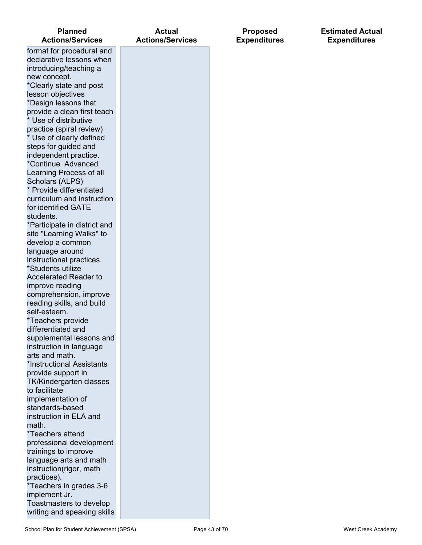| <b>Planned</b><br><b>Actions/Services</b>           | <b>Actual</b><br><b>Actions/Services</b> |
|-----------------------------------------------------|------------------------------------------|
| format for procedural and                           |                                          |
| declarative lessons when                            |                                          |
| introducing/teaching a                              |                                          |
| new concept.                                        |                                          |
| *Clearly state and post                             |                                          |
| lesson objectives                                   |                                          |
| *Design lessons that<br>provide a clean first teach |                                          |
| * Use of distributive                               |                                          |
| practice (spiral review)                            |                                          |
| * Use of clearly defined                            |                                          |
| steps for guided and                                |                                          |
| independent practice.                               |                                          |
| *Continue Advanced                                  |                                          |
| Learning Process of all                             |                                          |
| Scholars (ALPS)                                     |                                          |
| * Provide differentiated                            |                                          |
| curriculum and instruction<br>for identified GATE   |                                          |
| students.                                           |                                          |
| *Participate in district and                        |                                          |
| site "Learning Walks" to                            |                                          |
| develop a common                                    |                                          |
| language around                                     |                                          |
| instructional practices.                            |                                          |
| *Students utilize                                   |                                          |
| <b>Accelerated Reader to</b>                        |                                          |
| improve reading                                     |                                          |
| comprehension, improve                              |                                          |
| reading skills, and build<br>self-esteem.           |                                          |
| *Teachers provide                                   |                                          |
| differentiated and                                  |                                          |
| supplemental lessons and                            |                                          |
| instruction in language                             |                                          |
| arts and math.                                      |                                          |
| *Instructional Assistants                           |                                          |
| provide support in                                  |                                          |
| TK/Kindergarten classes                             |                                          |
| to facilitate<br>implementation of                  |                                          |
| standards-based                                     |                                          |
| instruction in ELA and                              |                                          |
| math.                                               |                                          |
| *Teachers attend                                    |                                          |
| professional development                            |                                          |
| trainings to improve                                |                                          |
| language arts and math                              |                                          |
| instruction(rigor, math                             |                                          |
| practices).<br>*Teachers in grades 3-6              |                                          |
| implement Jr.                                       |                                          |
| Toastmasters to develop                             |                                          |
| writing and speaking skills                         |                                          |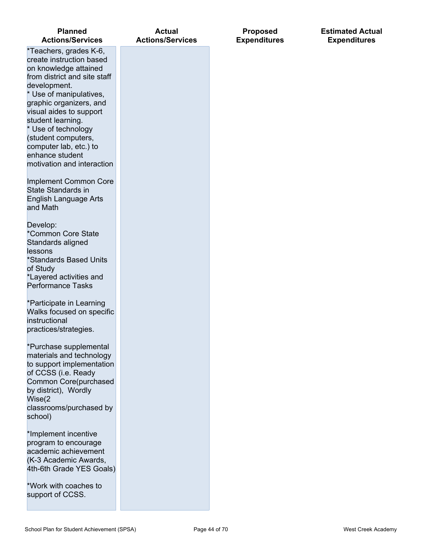| <b>Planned</b><br><b>Actions/Services</b>                                                                                                                                                                                                                                                                                                                  | <b>Actual</b><br><b>Actions/Services</b> | <b>Proposed</b><br><b>Expenditures</b> |
|------------------------------------------------------------------------------------------------------------------------------------------------------------------------------------------------------------------------------------------------------------------------------------------------------------------------------------------------------------|------------------------------------------|----------------------------------------|
| *Teachers, grades K-6,<br>create instruction based<br>on knowledge attained<br>from district and site staff<br>development.<br>* Use of manipulatives,<br>graphic organizers, and<br>visual aides to support<br>student learning.<br>* Use of technology<br>(student computers,<br>computer lab, etc.) to<br>enhance student<br>motivation and interaction |                                          |                                        |
| <b>Implement Common Core</b><br>State Standards in<br><b>English Language Arts</b><br>and Math                                                                                                                                                                                                                                                             |                                          |                                        |
| Develop:<br>*Common Core State<br>Standards aligned<br>lessons<br>*Standards Based Units<br>of Study<br>*Layered activities and<br><b>Performance Tasks</b>                                                                                                                                                                                                |                                          |                                        |
| *Participate in Learning<br>Walks focused on specific<br>instructional<br>practices/strategies.                                                                                                                                                                                                                                                            |                                          |                                        |
| *Purchase supplemental<br>materials and technology<br>to support implementation<br>of CCSS (i.e. Ready<br>Common Core(purchased<br>by district), Wordly<br>Wise(2<br>classrooms/purchased by<br>school)                                                                                                                                                    |                                          |                                        |
| *Implement incentive<br>program to encourage<br>academic achievement<br>(K-3 Academic Awards,<br>4th-6th Grade YES Goals)                                                                                                                                                                                                                                  |                                          |                                        |
| *Work with coaches to<br>support of CCSS.                                                                                                                                                                                                                                                                                                                  |                                          |                                        |

### **Estimated Actual Expenditures**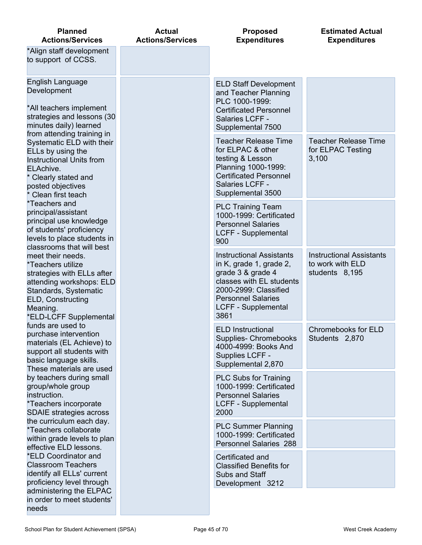| <b>Planned</b><br><b>Actions/Services</b>                                                                                                                                                    | <b>Actual</b><br><b>Actions/Services</b> | <b>Proposed</b><br><b>Expenditures</b>                                                                                                                                                                  | <b>Estimated Actual</b><br><b>Expenditures</b>                        |
|----------------------------------------------------------------------------------------------------------------------------------------------------------------------------------------------|------------------------------------------|---------------------------------------------------------------------------------------------------------------------------------------------------------------------------------------------------------|-----------------------------------------------------------------------|
| *Align staff development<br>to support of CCSS.                                                                                                                                              |                                          |                                                                                                                                                                                                         |                                                                       |
| English Language<br>Development<br>*All teachers implement<br>strategies and lessons (30<br>minutes daily) learned                                                                           |                                          | <b>ELD Staff Development</b><br>and Teacher Planning<br>PLC 1000-1999:<br><b>Certificated Personnel</b><br>Salaries LCFF -<br>Supplemental 7500                                                         |                                                                       |
| from attending training in<br>Systematic ELD with their<br>ELLs by using the<br><b>Instructional Units from</b><br>ELAchive.<br>Clearly stated and<br>posted objectives<br>Clean first teach |                                          | <b>Teacher Release Time</b><br>for ELPAC & other<br>testing & Lesson<br>Planning 1000-1999:<br><b>Certificated Personnel</b><br>Salaries LCFF -<br>Supplemental 3500                                    | <b>Teacher Release Time</b><br>for ELPAC Testing<br>3,100             |
| *Teachers and<br>principal/assistant<br>principal use knowledge<br>of students' proficiency<br>levels to place students in<br>classrooms that will best                                      |                                          | <b>PLC Training Team</b><br>1000-1999: Certificated<br><b>Personnel Salaries</b><br><b>LCFF - Supplemental</b><br>900                                                                                   |                                                                       |
| meet their needs.<br>*Teachers utilize<br>strategies with ELLs after<br>attending workshops: ELD<br>Standards, Systematic<br>ELD, Constructing<br>Meaning.<br>*ELD-LCFF Supplemental         |                                          | <b>Instructional Assistants</b><br>in K, grade 1, grade 2,<br>grade 3 & grade 4<br>classes with EL students<br>2000-2999: Classified<br><b>Personnel Salaries</b><br><b>LCFF - Supplemental</b><br>3861 | <b>Instructional Assistants</b><br>to work with ELD<br>students 8,195 |
| funds are used to<br>purchase intervention<br>materials (EL Achieve) to<br>support all students with<br>basic language skills.<br>These materials are used                                   |                                          | <b>ELD Instructional</b><br><b>Supplies- Chromebooks</b><br>4000-4999: Books And<br>Supplies LCFF -<br>Supplemental 2,870                                                                               | Chromebooks for ELD<br>Students 2,870                                 |
| by teachers during small<br>group/whole group<br>instruction.<br>*Teachers incorporate<br><b>SDAIE</b> strategies across                                                                     |                                          | <b>PLC Subs for Training</b><br>1000-1999: Certificated<br><b>Personnel Salaries</b><br><b>LCFF - Supplemental</b><br>2000                                                                              |                                                                       |
| the curriculum each day.<br>*Teachers collaborate<br>within grade levels to plan<br>effective ELD lessons.                                                                                   |                                          | <b>PLC Summer Planning</b><br>1000-1999: Certificated<br>Personnel Salaries 288                                                                                                                         |                                                                       |
| *ELD Coordinator and<br><b>Classroom Teachers</b><br>identify all ELLs' current<br>proficiency level through                                                                                 |                                          | Certificated and<br><b>Classified Benefits for</b><br>Subs and Staff<br>Development 3212                                                                                                                |                                                                       |
| administering the ELPAC<br>in order to meet students'<br>needs                                                                                                                               |                                          |                                                                                                                                                                                                         |                                                                       |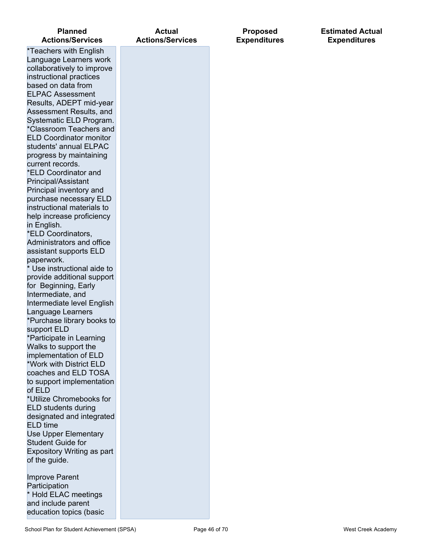| <b>Planned</b><br><b>Actions/Services</b>                                                                                                                                                                                                                                                                                                                                                                                                                                                                                                                                                                                                                                                                                                                                                                                                                                                                                                                                                                                                                                                                                                                                                                                                                       | <b>Actual</b><br><b>Actions/Services</b> |
|-----------------------------------------------------------------------------------------------------------------------------------------------------------------------------------------------------------------------------------------------------------------------------------------------------------------------------------------------------------------------------------------------------------------------------------------------------------------------------------------------------------------------------------------------------------------------------------------------------------------------------------------------------------------------------------------------------------------------------------------------------------------------------------------------------------------------------------------------------------------------------------------------------------------------------------------------------------------------------------------------------------------------------------------------------------------------------------------------------------------------------------------------------------------------------------------------------------------------------------------------------------------|------------------------------------------|
| *Teachers with English<br>Language Learners work<br>collaboratively to improve<br>instructional practices<br>based on data from<br><b>ELPAC Assessment</b><br>Results, ADEPT mid-year<br>Assessment Results, and<br>Systematic ELD Program.<br>*Classroom Teachers and<br><b>ELD Coordinator monitor</b><br>students' annual ELPAC<br>progress by maintaining<br>current records.<br>*ELD Coordinator and<br>Principal/Assistant<br>Principal inventory and<br>purchase necessary ELD<br>instructional materials to<br>help increase proficiency<br>in English.<br>*ELD Coordinators,<br>Administrators and office<br>assistant supports ELD<br>paperwork.<br>* Use instructional aide to<br>provide additional support<br>for Beginning, Early<br>Intermediate, and<br>Intermediate level English<br>Language Learners<br>*Purchase library books to<br>support ELD<br>*Participate in Learning<br>Walks to support the<br>implementation of ELD<br>*Work with District ELD<br>coaches and ELD TOSA<br>to support implementation<br>of ELD<br>*Utilize Chromebooks for<br><b>ELD students during</b><br>designated and integrated<br><b>ELD</b> time<br><b>Use Upper Elementary</b><br><b>Student Guide for</b><br>Expository Writing as part<br>of the guide. |                                          |
| <b>Improve Parent</b>                                                                                                                                                                                                                                                                                                                                                                                                                                                                                                                                                                                                                                                                                                                                                                                                                                                                                                                                                                                                                                                                                                                                                                                                                                           |                                          |

Participation

\* Hold ELAC meetings and include parent education topics (basic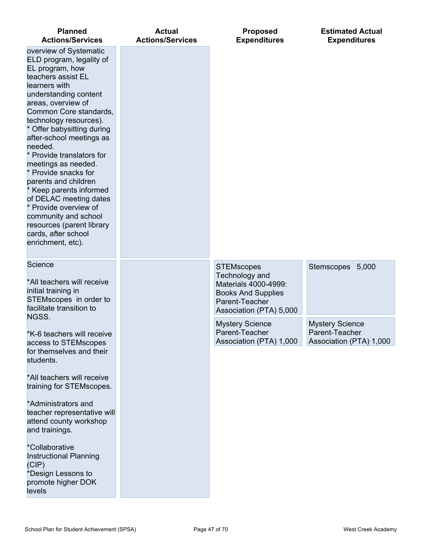| <b>Planned</b><br><b>Actions/Services</b>                                                                                                                                                                                                                                                                                                                                                                                                                                                                                                                               | <b>Actual</b><br><b>Actions/Services</b> | <b>Proposed</b><br><b>Expenditures</b>                                                                                                | <b>Estimated Actual</b><br><b>Expenditures</b>                      |
|-------------------------------------------------------------------------------------------------------------------------------------------------------------------------------------------------------------------------------------------------------------------------------------------------------------------------------------------------------------------------------------------------------------------------------------------------------------------------------------------------------------------------------------------------------------------------|------------------------------------------|---------------------------------------------------------------------------------------------------------------------------------------|---------------------------------------------------------------------|
| overview of Systematic<br>ELD program, legality of<br>EL program, how<br>teachers assist EL<br>learners with<br>understanding content<br>areas, overview of<br>Common Core standards.<br>technology resources).<br>* Offer babysitting during<br>after-school meetings as<br>needed.<br>* Provide translators for<br>meetings as needed.<br>* Provide snacks for<br>parents and children<br>* Keep parents informed<br>of DELAC meeting dates<br>* Provide overview of<br>community and school<br>resources (parent library<br>cards, after school<br>enrichment, etc). |                                          |                                                                                                                                       |                                                                     |
| Science<br>*All teachers will receive<br>initial training in<br>STEMscopes in order to<br>facilitate transition to<br>NGSS.                                                                                                                                                                                                                                                                                                                                                                                                                                             |                                          | <b>STEMscopes</b><br>Technology and<br>Materials 4000-4999:<br><b>Books And Supplies</b><br>Parent-Teacher<br>Association (PTA) 5,000 | Stemscopes 5,000                                                    |
| *K-6 teachers will receive<br>access to STEMscopes<br>for themselves and their<br>students.                                                                                                                                                                                                                                                                                                                                                                                                                                                                             |                                          | <b>Mystery Science</b><br>Parent-Teacher<br>Association (PTA) 1,000                                                                   | <b>Mystery Science</b><br>Parent-Teacher<br>Association (PTA) 1,000 |
| *All teachers will receive<br>training for STEMscopes.                                                                                                                                                                                                                                                                                                                                                                                                                                                                                                                  |                                          |                                                                                                                                       |                                                                     |
| *Administrators and<br>teacher representative will<br>attend county workshop<br>and trainings.                                                                                                                                                                                                                                                                                                                                                                                                                                                                          |                                          |                                                                                                                                       |                                                                     |
| *Collaborative<br><b>Instructional Planning</b><br>(CIP)<br>*Design Lessons to<br>promote higher DOK<br>levels                                                                                                                                                                                                                                                                                                                                                                                                                                                          |                                          |                                                                                                                                       |                                                                     |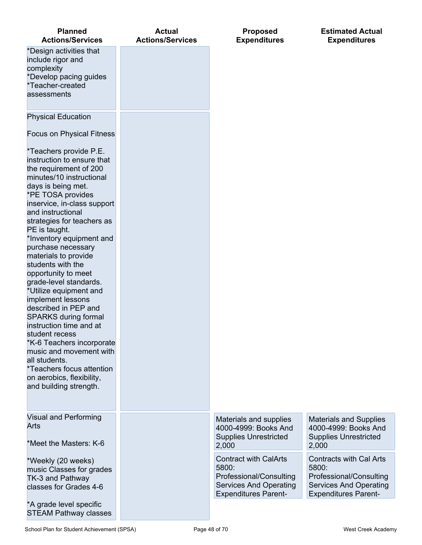| <b>Planned</b><br><b>Actions/Services</b>                                                                                                                                                                                                                                                                                                                                                                                                                                                                                                                                                                                                                                                                                | <b>Actual</b><br><b>Actions/Services</b> | <b>Proposed</b><br><b>Expenditures</b>                                                                                           | <b>Estimated Actual</b><br><b>Expenditures</b>                                                                                     |
|--------------------------------------------------------------------------------------------------------------------------------------------------------------------------------------------------------------------------------------------------------------------------------------------------------------------------------------------------------------------------------------------------------------------------------------------------------------------------------------------------------------------------------------------------------------------------------------------------------------------------------------------------------------------------------------------------------------------------|------------------------------------------|----------------------------------------------------------------------------------------------------------------------------------|------------------------------------------------------------------------------------------------------------------------------------|
| *Design activities that<br>include rigor and<br>complexity<br>*Develop pacing guides<br>*Teacher-created<br>assessments                                                                                                                                                                                                                                                                                                                                                                                                                                                                                                                                                                                                  |                                          |                                                                                                                                  |                                                                                                                                    |
| <b>Physical Education</b>                                                                                                                                                                                                                                                                                                                                                                                                                                                                                                                                                                                                                                                                                                |                                          |                                                                                                                                  |                                                                                                                                    |
| <b>Focus on Physical Fitness</b>                                                                                                                                                                                                                                                                                                                                                                                                                                                                                                                                                                                                                                                                                         |                                          |                                                                                                                                  |                                                                                                                                    |
| *Teachers provide P.E.<br>instruction to ensure that<br>the requirement of 200<br>minutes/10 instructional<br>days is being met.<br>*PE TOSA provides<br>inservice, in-class support<br>and instructional<br>strategies for teachers as<br>PE is taught.<br>*Inventory equipment and<br>purchase necessary<br>materials to provide<br>students with the<br>opportunity to meet<br>grade-level standards.<br>*Utilize equipment and<br>implement lessons<br>described in PEP and<br><b>SPARKS during formal</b><br>instruction time and at<br>student recess<br>*K-6 Teachers incorporate<br>music and movement with<br>all students.<br>*Teachers focus attention<br>on aerobics, flexibility,<br>and building strength. |                                          |                                                                                                                                  |                                                                                                                                    |
| Visual and Performing<br><b>Arts</b>                                                                                                                                                                                                                                                                                                                                                                                                                                                                                                                                                                                                                                                                                     |                                          | Materials and supplies<br>4000-4999: Books And<br><b>Supplies Unrestricted</b>                                                   | <b>Materials and Supplies</b><br>4000-4999: Books And<br><b>Supplies Unrestricted</b>                                              |
| *Meet the Masters: K-6                                                                                                                                                                                                                                                                                                                                                                                                                                                                                                                                                                                                                                                                                                   |                                          | 2,000                                                                                                                            | 2,000                                                                                                                              |
| *Weekly (20 weeks)<br>music Classes for grades<br>TK-3 and Pathway<br>classes for Grades 4-6                                                                                                                                                                                                                                                                                                                                                                                                                                                                                                                                                                                                                             |                                          | <b>Contract with CalArts</b><br>5800:<br>Professional/Consulting<br><b>Services And Operating</b><br><b>Expenditures Parent-</b> | <b>Contracts with Cal Arts</b><br>5800:<br>Professional/Consulting<br><b>Services And Operating</b><br><b>Expenditures Parent-</b> |
| *A grade level specific<br><b>STEAM Pathway classes</b>                                                                                                                                                                                                                                                                                                                                                                                                                                                                                                                                                                                                                                                                  |                                          |                                                                                                                                  |                                                                                                                                    |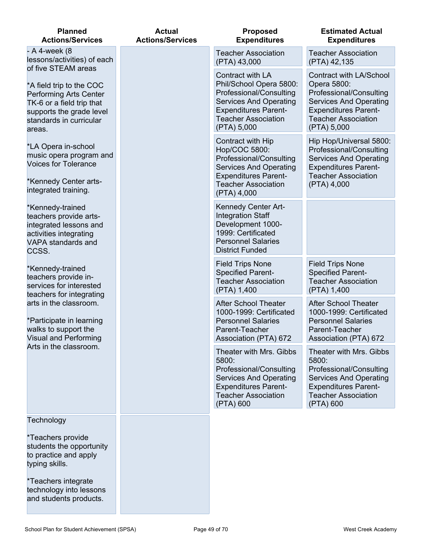| <b>Planned</b><br><b>Actions/Services</b>                                                                                                                                      | <b>Actual</b><br><b>Actions/Services</b> | <b>Proposed</b><br><b>Expenditures</b>                                                                                                                                              | <b>Estimated Actual</b><br><b>Expenditures</b>                                                                                                                                        |
|--------------------------------------------------------------------------------------------------------------------------------------------------------------------------------|------------------------------------------|-------------------------------------------------------------------------------------------------------------------------------------------------------------------------------------|---------------------------------------------------------------------------------------------------------------------------------------------------------------------------------------|
| - A 4-week (8<br>lessons/activities) of each                                                                                                                                   |                                          | <b>Teacher Association</b><br>(PTA) 43,000                                                                                                                                          | <b>Teacher Association</b><br>(PTA) 42,135                                                                                                                                            |
| of five STEAM areas<br>*A field trip to the COC<br><b>Performing Arts Center</b><br>TK-6 or a field trip that<br>supports the grade level<br>standards in curricular<br>areas. |                                          | Contract with LA<br>Phil/School Opera 5800:<br>Professional/Consulting<br><b>Services And Operating</b><br><b>Expenditures Parent-</b><br><b>Teacher Association</b><br>(PTA) 5,000 | <b>Contract with LA/School</b><br>Opera 5800:<br>Professional/Consulting<br><b>Services And Operating</b><br><b>Expenditures Parent-</b><br><b>Teacher Association</b><br>(PTA) 5,000 |
| *LA Opera in-school<br>music opera program and<br><b>Voices for Tolerance</b><br>*Kennedy Center arts-<br>integrated training.                                                 |                                          | Contract with Hip<br>Hop/COC 5800:<br>Professional/Consulting<br><b>Services And Operating</b><br><b>Expenditures Parent-</b><br><b>Teacher Association</b><br>(PTA) 4,000          | Hip Hop/Universal 5800:<br>Professional/Consulting<br><b>Services And Operating</b><br><b>Expenditures Parent-</b><br><b>Teacher Association</b><br>(PTA) 4,000                       |
| *Kennedy-trained<br>teachers provide arts-<br>integrated lessons and<br>activities integrating<br>VAPA standards and<br>CCSS.                                                  |                                          | <b>Kennedy Center Art-</b><br><b>Integration Staff</b><br>Development 1000-<br>1999: Certificated<br><b>Personnel Salaries</b><br><b>District Funded</b>                            |                                                                                                                                                                                       |
| *Kennedy-trained<br>teachers provide in-<br>services for interested<br>teachers for integrating                                                                                |                                          | <b>Field Trips None</b><br><b>Specified Parent-</b><br><b>Teacher Association</b><br>(PTA) 1,400                                                                                    | <b>Field Trips None</b><br><b>Specified Parent-</b><br><b>Teacher Association</b><br>(PTA) 1,400                                                                                      |
| arts in the classroom.<br>*Participate in learning<br>walks to support the<br><b>Visual and Performing</b>                                                                     |                                          | <b>After School Theater</b><br>1000-1999: Certificated<br><b>Personnel Salaries</b><br>Parent-Teacher<br>Association (PTA) 672                                                      | <b>After School Theater</b><br>1000-1999: Certificated<br><b>Personnel Salaries</b><br>Parent-Teacher<br>Association (PTA) 672                                                        |
| Arts in the classroom.                                                                                                                                                         |                                          | Theater with Mrs. Gibbs<br>5800:<br>Professional/Consulting<br><b>Services And Operating</b><br><b>Expenditures Parent-</b><br><b>Teacher Association</b><br>(PTA) 600              | Theater with Mrs. Gibbs<br>5800:<br>Professional/Consulting<br><b>Services And Operating</b><br><b>Expenditures Parent-</b><br><b>Teacher Association</b><br>(PTA) 600                |
| Technology<br>*Teachers provide<br>students the opportunity<br>to practice and apply<br>typing skills.                                                                         |                                          |                                                                                                                                                                                     |                                                                                                                                                                                       |
|                                                                                                                                                                                |                                          |                                                                                                                                                                                     |                                                                                                                                                                                       |

\*Teachers integrate technology into lessons and students products.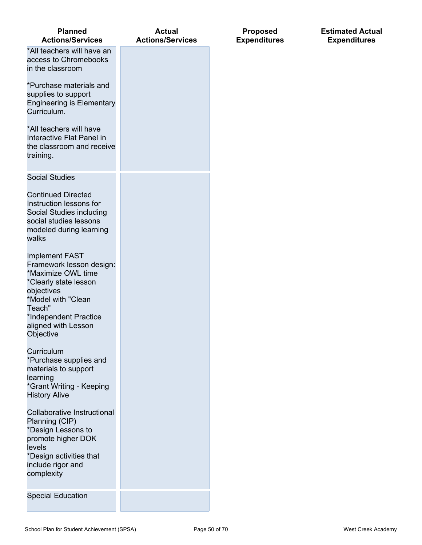| <b>Planned</b><br><b>Actions/Services</b>                                                                                                                                                                   | <b>Actual</b><br><b>Actions/Services</b> |
|-------------------------------------------------------------------------------------------------------------------------------------------------------------------------------------------------------------|------------------------------------------|
| *All teachers will have an<br>access to Chromebooks<br>in the classroom                                                                                                                                     |                                          |
| *Purchase materials and<br>supplies to support<br><b>Engineering is Elementary</b><br>Curriculum.                                                                                                           |                                          |
| *All teachers will have<br>Interactive Flat Panel in<br>the classroom and receive<br>training.                                                                                                              |                                          |
| <b>Social Studies</b>                                                                                                                                                                                       |                                          |
| <b>Continued Directed</b><br>Instruction lessons for<br>Social Studies including<br>social studies lessons<br>modeled during learning<br>walks                                                              |                                          |
| <b>Implement FAST</b><br>Framework lesson design:<br>*Maximize OWL time<br>*Clearly state lesson<br>objectives<br>*Model with "Clean<br>Teach"<br>*Independent Practice<br>aligned with Lesson<br>Objective |                                          |
| Curriculum<br>*Purchase supplies and<br>materials to support<br>learning<br>*Grant Writing - Keeping<br><b>History Alive</b>                                                                                |                                          |
| <b>Collaborative Instructional</b><br>Planning (CIP)<br>*Design Lessons to<br>promote higher DOK<br>levels<br>*Design activities that<br>include rigor and<br>complexity                                    |                                          |
| <b>Special Education</b>                                                                                                                                                                                    |                                          |

**Proposed Expenditures** **Estimated Actual Expenditures**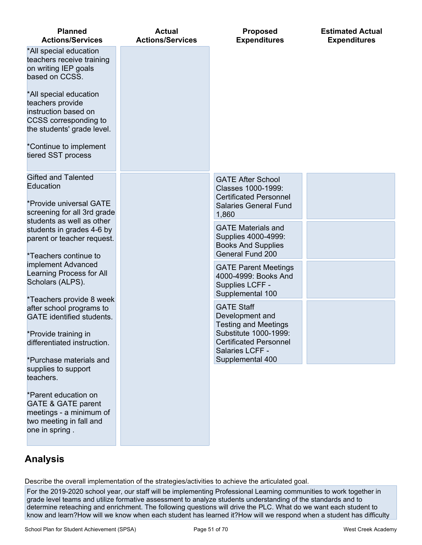| <b>Planned</b><br><b>Actions/Services</b>                                                                                                       | <b>Actual</b><br><b>Actions/Services</b> | <b>Proposed</b><br><b>Expenditures</b>                                                                                                           | <b>Estimated Actual</b><br><b>Expenditures</b> |
|-------------------------------------------------------------------------------------------------------------------------------------------------|------------------------------------------|--------------------------------------------------------------------------------------------------------------------------------------------------|------------------------------------------------|
| *All special education<br>teachers receive training<br>on writing IEP goals<br>based on CCSS.                                                   |                                          |                                                                                                                                                  |                                                |
| *All special education<br>teachers provide<br>instruction based on<br>CCSS corresponding to<br>the students' grade level.                       |                                          |                                                                                                                                                  |                                                |
| *Continue to implement<br>tiered SST process                                                                                                    |                                          |                                                                                                                                                  |                                                |
| <b>Gifted and Talented</b><br>Education<br>*Provide universal GATE<br>screening for all 3rd grade<br>students as well as other                  |                                          | <b>GATE After School</b><br>Classes 1000-1999:<br><b>Certificated Personnel</b><br><b>Salaries General Fund</b><br>1,860                         |                                                |
| students in grades 4-6 by<br>parent or teacher request.<br>*Teachers continue to                                                                |                                          | <b>GATE Materials and</b><br>Supplies 4000-4999:<br><b>Books And Supplies</b><br>General Fund 200                                                |                                                |
| implement Advanced<br>Learning Process for All<br>Scholars (ALPS).                                                                              |                                          | <b>GATE Parent Meetings</b><br>4000-4999: Books And<br>Supplies LCFF -<br>Supplemental 100                                                       |                                                |
| *Teachers provide 8 week<br>after school programs to<br><b>GATE</b> identified students.<br>*Provide training in<br>differentiated instruction. |                                          | <b>GATE Staff</b><br>Development and<br><b>Testing and Meetings</b><br>Substitute 1000-1999:<br><b>Certificated Personnel</b><br>Salaries LCFF - |                                                |
| *Purchase materials and<br>supplies to support<br>teachers.                                                                                     |                                          | Supplemental 400                                                                                                                                 |                                                |
| *Parent education on<br><b>GATE &amp; GATE parent</b><br>meetings - a minimum of<br>two meeting in fall and<br>one in spring.                   |                                          |                                                                                                                                                  |                                                |
|                                                                                                                                                 |                                          |                                                                                                                                                  |                                                |

Describe the overall implementation of the strategies/activities to achieve the articulated goal.

For the 2019-2020 school year, our staff will be implementing Professional Learning communities to work together in grade level teams and utilize formative assessment to analyze students understanding of the standards and to determine reteaching and enrichment. The following questions will drive the PLC. What do we want each student to know and learn?How will we know when each student has learned it?How will we respond when a student has difficulty

**Analysis**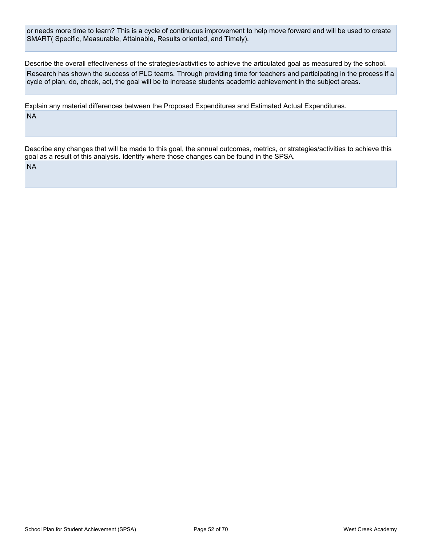or needs more time to learn? This is a cycle of continuous improvement to help move forward and will be used to create SMART( Specific, Measurable, Attainable, Results oriented, and Timely).

Describe the overall effectiveness of the strategies/activities to achieve the articulated goal as measured by the school. Research has shown the success of PLC teams. Through providing time for teachers and participating in the process if a cycle of plan, do, check, act, the goal will be to increase students academic achievement in the subject areas.

Explain any material differences between the Proposed Expenditures and Estimated Actual Expenditures. NA

Describe any changes that will be made to this goal, the annual outcomes, metrics, or strategies/activities to achieve this goal as a result of this analysis. Identify where those changes can be found in the SPSA.

NA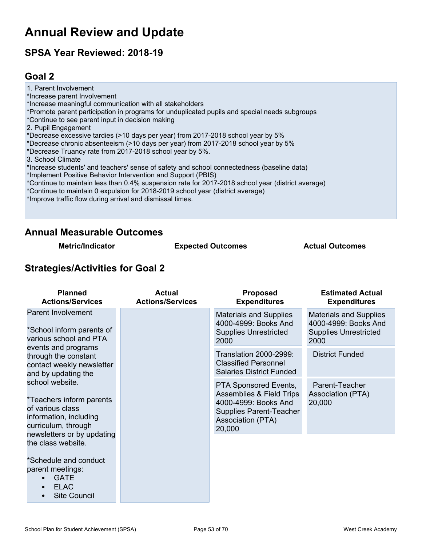# **Annual Review and Update**

# **SPSA Year Reviewed: 2018-19**

## <span id="page-52-0"></span>**Goal 2**

1. Parent Involvement \*Increase parent Involvement \*Increase meaningful communication with all stakeholders \*Promote parent participation in programs for unduplicated pupils and special needs subgroups \*Continue to see parent input in decision making 2. Pupil Engagement \*Decrease excessive tardies (>10 days per year) from 2017-2018 school year by 5% \*Decrease chronic absenteeism (>10 days per year) from 2017-2018 school year by 5% \*Decrease Truancy rate from 2017-2018 school year by 5%. 3. School Climate \*Increase students' and teachers' sense of safety and school connectedness (baseline data) \*Implement Positive Behavior Intervention and Support (PBIS) \*Continue to maintain less than 0.4% suspension rate for 2017-2018 school year (district average) \*Continue to maintain 0 expulsion for 2018-2019 school year (district average) \*Improve traffic flow during arrival and dismissal times.

### **Annual Measurable Outcomes**

**Metric/Indicator Expected Outcomes Actual Outcomes**

### **Strategies/Activities for Goal 2**

| <b>Planned</b><br><b>Actions/Services</b>                                                                        | <b>Actual</b><br><b>Actions/Services</b>                                                      | <b>Proposed</b><br><b>Expenditures</b>                                                                                                                       | <b>Estimated Actual</b><br><b>Expenditures</b>       |
|------------------------------------------------------------------------------------------------------------------|-----------------------------------------------------------------------------------------------|--------------------------------------------------------------------------------------------------------------------------------------------------------------|------------------------------------------------------|
| Parent Involvement<br>*School inform parents of<br>various school and PTA                                        | <b>Materials and Supplies</b><br>4000-4999: Books And<br><b>Supplies Unrestricted</b><br>2000 | <b>Materials and Supplies</b><br>4000-4999: Books And<br><b>Supplies Unrestricted</b><br>2000                                                                |                                                      |
| events and programs<br>through the constant<br>contact weekly newsletter<br>and by updating the                  |                                                                                               | <b>Translation 2000-2999:</b><br><b>Classified Personnel</b><br><b>Salaries District Funded</b>                                                              | <b>District Funded</b>                               |
| school website.<br>*Teachers inform parents<br>of various class<br>information, including<br>curriculum, through |                                                                                               | <b>PTA Sponsored Events,</b><br><b>Assemblies &amp; Field Trips</b><br>4000-4999: Books And<br><b>Supplies Parent-Teacher</b><br>Association (PTA)<br>20,000 | Parent-Teacher<br><b>Association (PTA)</b><br>20,000 |
| newsletters or by updating<br>the class website.                                                                 |                                                                                               |                                                                                                                                                              |                                                      |
| *Schedule and conduct<br>parent meetings:<br><b>GATE</b><br><b>ELAC</b><br><b>Site Council</b>                   |                                                                                               |                                                                                                                                                              |                                                      |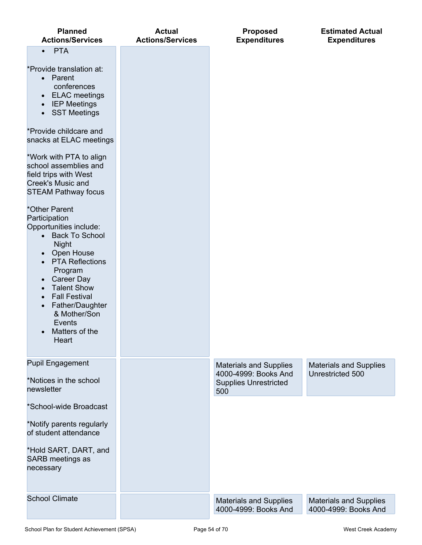| <b>Planned</b><br><b>Actions/Services</b>                                                                                                                                                                                                                                                                                                                                                                                                                                                                                                                                                                                                                                                                                                                                            | <b>Actual</b><br><b>Actions/Services</b> | <b>Proposed</b><br><b>Expenditures</b>                                                       | <b>Estimated Actual</b><br><b>Expenditures</b>        |
|--------------------------------------------------------------------------------------------------------------------------------------------------------------------------------------------------------------------------------------------------------------------------------------------------------------------------------------------------------------------------------------------------------------------------------------------------------------------------------------------------------------------------------------------------------------------------------------------------------------------------------------------------------------------------------------------------------------------------------------------------------------------------------------|------------------------------------------|----------------------------------------------------------------------------------------------|-------------------------------------------------------|
| <b>PTA</b><br>$\bullet$<br>*Provide translation at:<br>• Parent<br>conferences<br><b>ELAC</b> meetings<br>$\bullet$<br><b>IEP Meetings</b><br>$\bullet$<br><b>SST Meetings</b><br>$\bullet$<br>*Provide childcare and<br>snacks at ELAC meetings<br>*Work with PTA to align<br>school assemblies and<br>field trips with West<br>Creek's Music and<br><b>STEAM Pathway focus</b><br>*Other Parent<br>Participation<br>Opportunities include:<br><b>Back To School</b><br>$\bullet$<br><b>Night</b><br>Open House<br>$\bullet$<br><b>PTA Reflections</b><br>$\bullet$<br>Program<br>Career Day<br>$\bullet$<br><b>Talent Show</b><br>$\bullet$<br><b>Fall Festival</b><br>$\bullet$<br>Father/Daughter<br>$\bullet$<br>& Mother/Son<br>Events<br>Matters of the<br>$\bullet$<br>Heart |                                          |                                                                                              |                                                       |
| <b>Pupil Engagement</b><br>*Notices in the school<br>newsletter                                                                                                                                                                                                                                                                                                                                                                                                                                                                                                                                                                                                                                                                                                                      |                                          | <b>Materials and Supplies</b><br>4000-4999: Books And<br><b>Supplies Unrestricted</b><br>500 | <b>Materials and Supplies</b><br>Unrestricted 500     |
| *School-wide Broadcast                                                                                                                                                                                                                                                                                                                                                                                                                                                                                                                                                                                                                                                                                                                                                               |                                          |                                                                                              |                                                       |
| *Notify parents regularly<br>of student attendance                                                                                                                                                                                                                                                                                                                                                                                                                                                                                                                                                                                                                                                                                                                                   |                                          |                                                                                              |                                                       |
| *Hold SART, DART, and<br>SARB meetings as<br>necessary                                                                                                                                                                                                                                                                                                                                                                                                                                                                                                                                                                                                                                                                                                                               |                                          |                                                                                              |                                                       |
| <b>School Climate</b>                                                                                                                                                                                                                                                                                                                                                                                                                                                                                                                                                                                                                                                                                                                                                                |                                          | <b>Materials and Supplies</b><br>4000-4999: Books And                                        | <b>Materials and Supplies</b><br>4000-4999: Books And |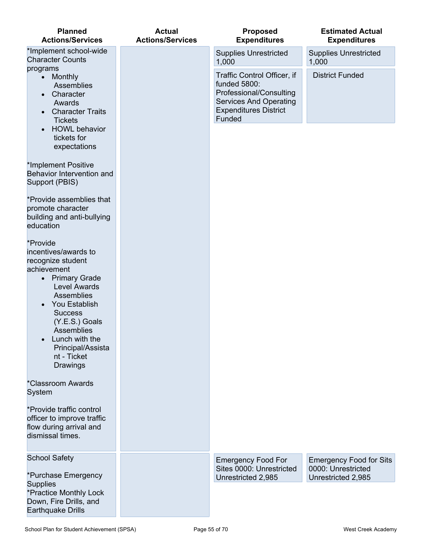| <b>Planned</b><br><b>Actions/Services</b>                                                                                                                                                                                                                                                          | <b>Actual</b><br><b>Actions/Services</b> | <b>Proposed</b><br><b>Expenditures</b>                                                                                                            | <b>Estimated Actual</b><br><b>Expenditures</b>                             |
|----------------------------------------------------------------------------------------------------------------------------------------------------------------------------------------------------------------------------------------------------------------------------------------------------|------------------------------------------|---------------------------------------------------------------------------------------------------------------------------------------------------|----------------------------------------------------------------------------|
| *Implement school-wide<br><b>Character Counts</b>                                                                                                                                                                                                                                                  |                                          | <b>Supplies Unrestricted</b><br>1,000                                                                                                             | <b>Supplies Unrestricted</b><br>1,000                                      |
| programs<br>• Monthly<br>Assemblies<br>Character<br>$\bullet$<br>Awards<br><b>Character Traits</b><br>$\bullet$<br><b>Tickets</b>                                                                                                                                                                  |                                          | Traffic Control Officer, if<br>funded 5800:<br>Professional/Consulting<br><b>Services And Operating</b><br><b>Expenditures District</b><br>Funded | <b>District Funded</b>                                                     |
| <b>HOWL</b> behavior<br>$\bullet$<br>tickets for<br>expectations                                                                                                                                                                                                                                   |                                          |                                                                                                                                                   |                                                                            |
| *Implement Positive<br>Behavior Intervention and<br>Support (PBIS)                                                                                                                                                                                                                                 |                                          |                                                                                                                                                   |                                                                            |
| *Provide assemblies that<br>promote character<br>building and anti-bullying<br>education                                                                                                                                                                                                           |                                          |                                                                                                                                                   |                                                                            |
| *Provide<br>incentives/awards to<br>recognize student<br>achievement<br>• Primary Grade<br><b>Level Awards</b><br>Assemblies<br>You Establish<br>$\bullet$<br><b>Success</b><br>(Y.E.S.) Goals<br>Assemblies<br>Lunch with the<br>$\bullet$<br>Principal/Assista<br>nt - Ticket<br><b>Drawings</b> |                                          |                                                                                                                                                   |                                                                            |
| *Classroom Awards<br>System                                                                                                                                                                                                                                                                        |                                          |                                                                                                                                                   |                                                                            |
| *Provide traffic control<br>officer to improve traffic<br>flow during arrival and<br>dismissal times.                                                                                                                                                                                              |                                          |                                                                                                                                                   |                                                                            |
| <b>School Safety</b><br>*Purchase Emergency<br><b>Supplies</b>                                                                                                                                                                                                                                     |                                          | <b>Emergency Food For</b><br>Sites 0000: Unrestricted<br>Unrestricted 2,985                                                                       | <b>Emergency Food for Sits</b><br>0000: Unrestricted<br>Unrestricted 2,985 |
| *Practice Monthly Lock<br>Down, Fire Drills, and<br><b>Earthquake Drills</b>                                                                                                                                                                                                                       |                                          |                                                                                                                                                   |                                                                            |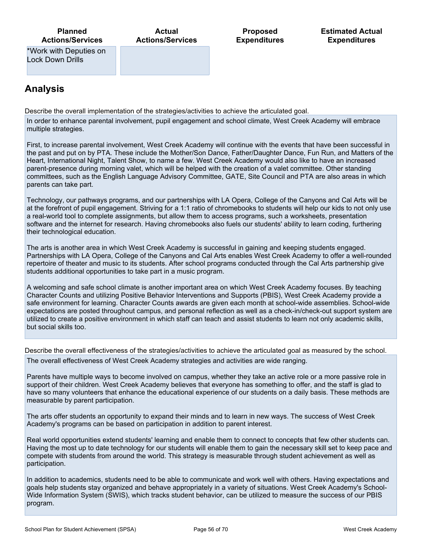**Actual Actions/Services**

**Proposed Expenditures** **Estimated Actual Expenditures**

\*Work with Deputies on Lock Down Drills

## **Analysis**

Describe the overall implementation of the strategies/activities to achieve the articulated goal.

In order to enhance parental involvement, pupil engagement and school climate, West Creek Academy will embrace multiple strategies.

First, to increase parental involvement, West Creek Academy will continue with the events that have been successful in the past and put on by PTA. These include the Mother/Son Dance, Father/Daughter Dance, Fun Run, and Matters of the Heart, International Night, Talent Show, to name a few. West Creek Academy would also like to have an increased parent-presence during morning valet, which will be helped with the creation of a valet committee. Other standing committees, such as the English Language Advisory Committee, GATE, Site Council and PTA are also areas in which parents can take part.

Technology, our pathways programs, and our partnerships with LA Opera, College of the Canyons and Cal Arts will be at the forefront of pupil engagement. Striving for a 1:1 ratio of chromebooks to students will help our kids to not only use a real-world tool to complete assignments, but allow them to access programs, such a worksheets, presentation software and the internet for research. Having chromebooks also fuels our students' ability to learn coding, furthering their technological education.

The arts is another area in which West Creek Academy is successful in gaining and keeping students engaged. Partnerships with LA Opera, College of the Canyons and Cal Arts enables West Creek Academy to offer a well-rounded repertoire of theater and music to its students. After school programs conducted through the Cal Arts partnership give students additional opportunities to take part in a music program.

A welcoming and safe school climate is another important area on which West Creek Academy focuses. By teaching Character Counts and utilizing Positive Behavior Interventions and Supports (PBIS), West Creek Academy provide a safe environment for learning. Character Counts awards are given each month at school-wide assemblies. School-wide expectations are posted throughout campus, and personal reflection as well as a check-in/check-out support system are utilized to create a positive environment in which staff can teach and assist students to learn not only academic skills, but social skills too.

Describe the overall effectiveness of the strategies/activities to achieve the articulated goal as measured by the school.

The overall effectiveness of West Creek Academy strategies and activities are wide ranging.

Parents have multiple ways to become involved on campus, whether they take an active role or a more passive role in support of their children. West Creek Academy believes that everyone has something to offer, and the staff is glad to have so many volunteers that enhance the educational experience of our students on a daily basis. These methods are measurable by parent participation.

The arts offer students an opportunity to expand their minds and to learn in new ways. The success of West Creek Academy's programs can be based on participation in addition to parent interest.

Real world opportunities extend students' learning and enable them to connect to concepts that few other students can. Having the most up to date technology for our students will enable them to gain the necessary skill set to keep pace and compete with students from around the world. This strategy is measurable through student achievement as well as participation.

In addition to academics, students need to be able to communicate and work well with others. Having expectations and goals help students stay organized and behave appropriately in a variety of situations. West Creek Academy's School-Wide Information System (SWIS), which tracks student behavior, can be utilized to measure the success of our PBIS program.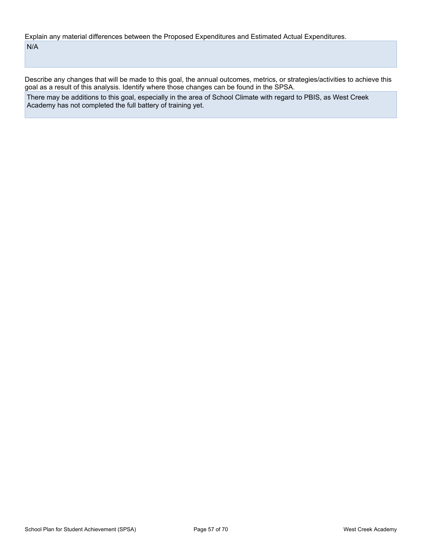Explain any material differences between the Proposed Expenditures and Estimated Actual Expenditures. N/A

Describe any changes that will be made to this goal, the annual outcomes, metrics, or strategies/activities to achieve this goal as a result of this analysis. Identify where those changes can be found in the SPSA.

There may be additions to this goal, especially in the area of School Climate with regard to PBIS, as West Creek Academy has not completed the full battery of training yet.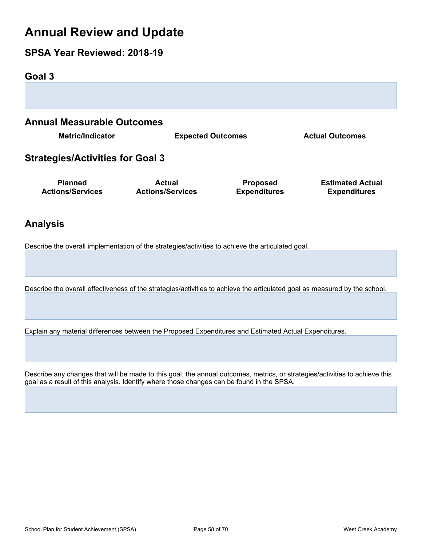# **Annual Review and Update**

## **SPSA Year Reviewed: 2018-19**

<span id="page-57-0"></span>**Goal 3 Annual Measurable Outcomes Metric/Indicator Expected Outcomes Actual Outcomes Strategies/Activities for Goal 3 Planned Actions/Services Actual Actions/Services Proposed Expenditures Estimated Actual Expenditures**

## **Analysis**

Describe the overall implementation of the strategies/activities to achieve the articulated goal.

Describe the overall effectiveness of the strategies/activities to achieve the articulated goal as measured by the school.

Explain any material differences between the Proposed Expenditures and Estimated Actual Expenditures.

Describe any changes that will be made to this goal, the annual outcomes, metrics, or strategies/activities to achieve this goal as a result of this analysis. Identify where those changes can be found in the SPSA.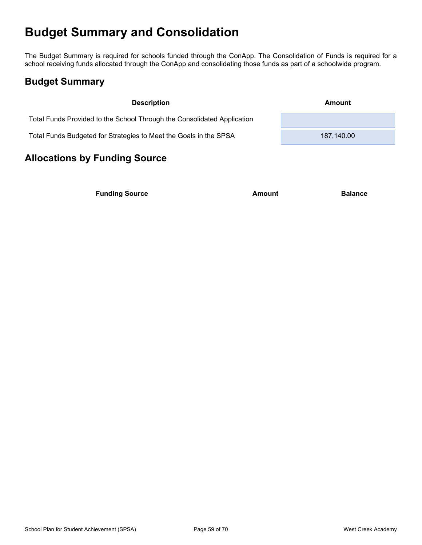# <span id="page-58-0"></span>**Budget Summary and Consolidation**

The Budget Summary is required for schools funded through the ConApp. The Consolidation of Funds is required for a school receiving funds allocated through the ConApp and consolidating those funds as part of a schoolwide program.

## <span id="page-58-1"></span>**Budget Summary**

| <b>Description</b>                                                      | Amount     |
|-------------------------------------------------------------------------|------------|
| Total Funds Provided to the School Through the Consolidated Application |            |
| Total Funds Budgeted for Strategies to Meet the Goals in the SPSA       | 187.140.00 |

# <span id="page-58-2"></span>**Allocations by Funding Source**

**Funding Source Amount Balance**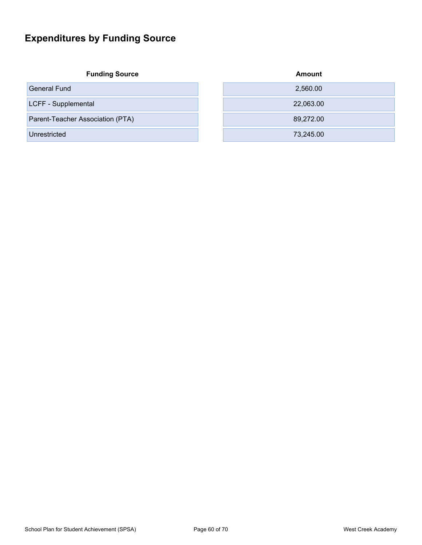# <span id="page-59-0"></span>**Expenditures by Funding Source**

**Funding Source** 

General Fund

LCFF - Supplemental

Parent-Teacher Association (PTA)

Unrestricted

| Amount    |
|-----------|
| 2,560.00  |
| 22,063.00 |
| 89,272.00 |
| 73,245.00 |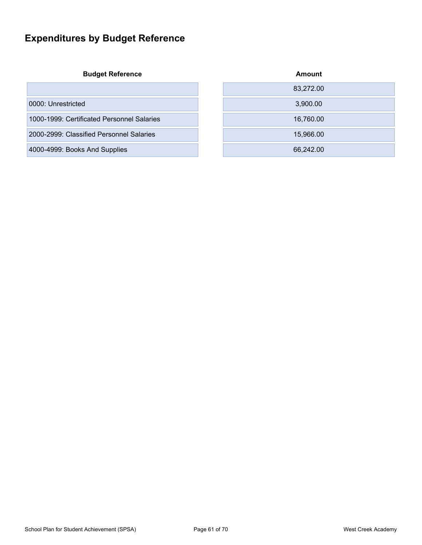# <span id="page-60-0"></span>**Expenditures by Budget Reference**

**Budget Reference Amount**

|                                            | 83.272.00 |
|--------------------------------------------|-----------|
| 0000: Unrestricted                         | 3,900.00  |
| 1000-1999: Certificated Personnel Salaries | 16,760.00 |
| 2000-2999: Classified Personnel Salaries   | 15,966.00 |
| 4000-4999: Books And Supplies              | 66.242.00 |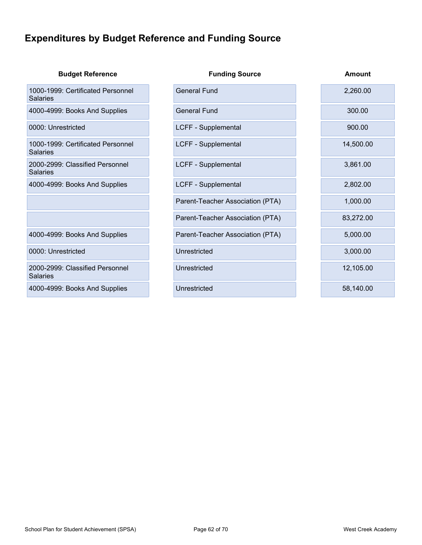# <span id="page-61-0"></span>**Expenditures by Budget Reference and Funding Source**

| <b>Budget Reference</b>                              | <b>Funding Source</b>            | Amount    |
|------------------------------------------------------|----------------------------------|-----------|
| 1000-1999: Certificated Personnel<br><b>Salaries</b> | <b>General Fund</b>              | 2,260.00  |
| 4000-4999: Books And Supplies                        | <b>General Fund</b>              | 300.00    |
| 0000: Unrestricted                                   | LCFF - Supplemental              | 900.00    |
| 1000-1999: Certificated Personnel<br><b>Salaries</b> | LCFF - Supplemental              | 14,500.00 |
| 2000-2999: Classified Personnel<br><b>Salaries</b>   | LCFF - Supplemental              | 3,861.00  |
| 4000-4999: Books And Supplies                        | LCFF - Supplemental              | 2,802.00  |
|                                                      | Parent-Teacher Association (PTA) | 1,000.00  |
|                                                      | Parent-Teacher Association (PTA) | 83,272.00 |
| 4000-4999: Books And Supplies                        | Parent-Teacher Association (PTA) | 5,000.00  |
| 0000: Unrestricted                                   | Unrestricted                     | 3,000.00  |
| 2000-2999: Classified Personnel<br><b>Salaries</b>   | Unrestricted                     | 12,105.00 |
| 4000-4999: Books And Supplies                        | Unrestricted                     | 58,140.00 |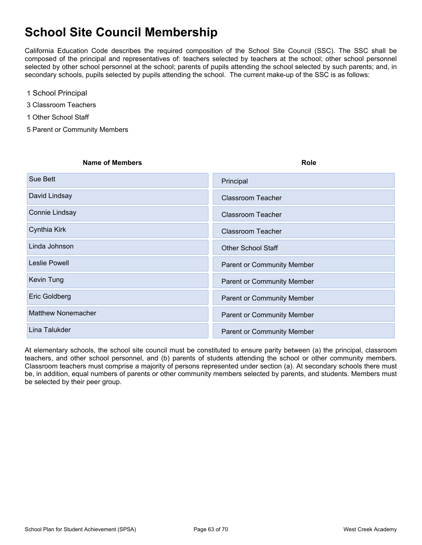# <span id="page-62-0"></span>**School Site Council Membership**

California Education Code describes the required composition of the School Site Council (SSC). The SSC shall be composed of the principal and representatives of: teachers selected by teachers at the school; other school personnel selected by other school personnel at the school; parents of pupils attending the school selected by such parents; and, in secondary schools, pupils selected by pupils attending the school. The current make-up of the SSC is as follows:

- 1 School Principal
- 3 Classroom Teachers
- 1 Other School Staff
- 5 Parent or Community Members

# **Name of Members Role** Sue Bett **XPrincipal** Sue Bett XPrincipal Sue Bett XPrincipal Sue Bett XPrincipal David Lindsay XClassroom Teacher Connie Lindsay XClassroom Teacher Cynthia Kirk XClassroom Teacher XClassroom Teacher Linda Johnson XOTHER School Staff Leslie Powell **Example 2018** 2019 12:30 No. 2019 12:30 No. 2019 12:30 No. 2019 12:30 No. 2019 12:30 No. 2019 12:30 No. 2019 12:30 No. 2019 12:30 No. 2019 12:30 No. 2019 12:30 No. 2019 12:30 No. 2019 12:30 No. 2019 12:30 No Kevin Tung XParent or Community Member Eric Goldberg XParent or Community Member Matthew Nonemacher XParent or Community Member Lina Talukder XParent or Community Member

At elementary schools, the school site council must be constituted to ensure parity between (a) the principal, classroom teachers, and other school personnel, and (b) parents of students attending the school or other community members. Classroom teachers must comprise a majority of persons represented under section (a). At secondary schools there must be, in addition, equal numbers of parents or other community members selected by parents, and students. Members must be selected by their peer group.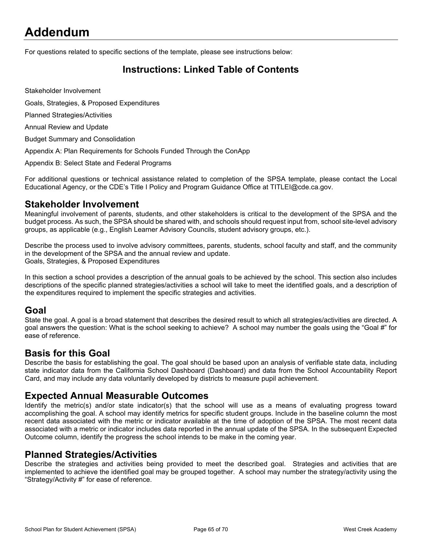# <span id="page-63-0"></span>**Addendum**

For questions related to specific sections of the template, please see instructions below:

## <span id="page-63-1"></span>**Instructions: Linked Table of Contents**

Stakeholder Involvement

Goals, Strategies, & Proposed Expenditures

Planned Strategies/Activities

Annual Review and Update

Budget Summary and Consolidation

Appendix A: Plan Requirements for Schools Funded Through the ConApp

Appendix B: Select State and Federal Programs

For additional questions or technical assistance related to completion of the SPSA template, please contact the Local Educational Agency, or the CDE's Title I Policy and Program Guidance Office at TITLEI@cde.ca.gov.

### **Stakeholder Involvement**

Meaningful involvement of parents, students, and other stakeholders is critical to the development of the SPSA and the budget process. As such, the SPSA should be shared with, and schools should request input from, school site-level advisory groups, as applicable (e.g., English Learner Advisory Councils, student advisory groups, etc.).

Describe the process used to involve advisory committees, parents, students, school faculty and staff, and the community in the development of the SPSA and the annual review and update. Goals, Strategies, & Proposed Expenditures

In this section a school provides a description of the annual goals to be achieved by the school. This section also includes descriptions of the specific planned strategies/activities a school will take to meet the identified goals, and a description of the expenditures required to implement the specific strategies and activities.

### **Goal**

State the goal. A goal is a broad statement that describes the desired result to which all strategies/activities are directed. A goal answers the question: What is the school seeking to achieve? A school may number the goals using the "Goal #" for ease of reference.

### **Basis for this Goal**

Describe the basis for establishing the goal. The goal should be based upon an analysis of verifiable state data, including state indicator data from the California School Dashboard (Dashboard) and data from the School Accountability Report Card, and may include any data voluntarily developed by districts to measure pupil achievement.

### **Expected Annual Measurable Outcomes**

Identify the metric(s) and/or state indicator(s) that the school will use as a means of evaluating progress toward accomplishing the goal. A school may identify metrics for specific student groups. Include in the baseline column the most recent data associated with the metric or indicator available at the time of adoption of the SPSA. The most recent data associated with a metric or indicator includes data reported in the annual update of the SPSA. In the subsequent Expected Outcome column, identify the progress the school intends to be make in the coming year.

### **Planned Strategies/Activities**

Describe the strategies and activities being provided to meet the described goal. Strategies and activities that are implemented to achieve the identified goal may be grouped together. A school may number the strategy/activity using the "Strategy/Activity #" for ease of reference.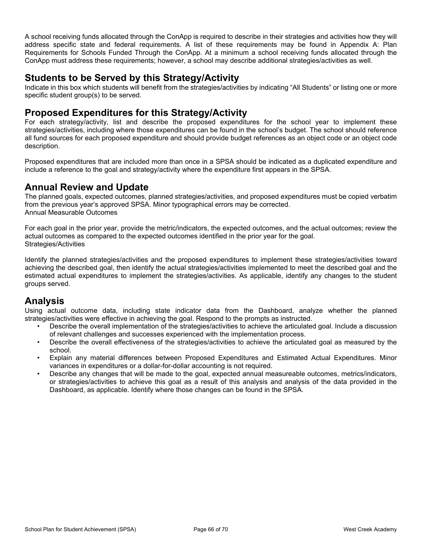A school receiving funds allocated through the ConApp is required to describe in their strategies and activities how they will address specific state and federal requirements. A list of these requirements may be found in Appendix A: Plan Requirements for Schools Funded Through the ConApp. At a minimum a school receiving funds allocated through the ConApp must address these requirements; however, a school may describe additional strategies/activities as well.

### **Students to be Served by this Strategy/Activity**

Indicate in this box which students will benefit from the strategies/activities by indicating "All Students" or listing one or more specific student group(s) to be served.

### **Proposed Expenditures for this Strategy/Activity**

For each strategy/activity, list and describe the proposed expenditures for the school year to implement these strategies/activities, including where those expenditures can be found in the school's budget. The school should reference all fund sources for each proposed expenditure and should provide budget references as an object code or an object code description.

Proposed expenditures that are included more than once in a SPSA should be indicated as a duplicated expenditure and include a reference to the goal and strategy/activity where the expenditure first appears in the SPSA.

### **Annual Review and Update**

The planned goals, expected outcomes, planned strategies/activities, and proposed expenditures must be copied verbatim from the previous year's approved SPSA. Minor typographical errors may be corrected. Annual Measurable Outcomes

For each goal in the prior year, provide the metric/indicators, the expected outcomes, and the actual outcomes; review the actual outcomes as compared to the expected outcomes identified in the prior year for the goal. Strategies/Activities

Identify the planned strategies/activities and the proposed expenditures to implement these strategies/activities toward achieving the described goal, then identify the actual strategies/activities implemented to meet the described goal and the estimated actual expenditures to implement the strategies/activities. As applicable, identify any changes to the student groups served.

## **Analysis**

Using actual outcome data, including state indicator data from the Dashboard, analyze whether the planned strategies/activities were effective in achieving the goal. Respond to the prompts as instructed.

- Describe the overall implementation of the strategies/activities to achieve the articulated goal. Include a discussion of relevant challenges and successes experienced with the implementation process.
- Describe the overall effectiveness of the strategies/activities to achieve the articulated goal as measured by the school.
- Explain any material differences between Proposed Expenditures and Estimated Actual Expenditures. Minor variances in expenditures or a dollar-for-dollar accounting is not required.
- Describe any changes that will be made to the goal, expected annual measureable outcomes, metrics/indicators, or strategies/activities to achieve this goal as a result of this analysis and analysis of the data provided in the Dashboard, as applicable. Identify where those changes can be found in the SPSA.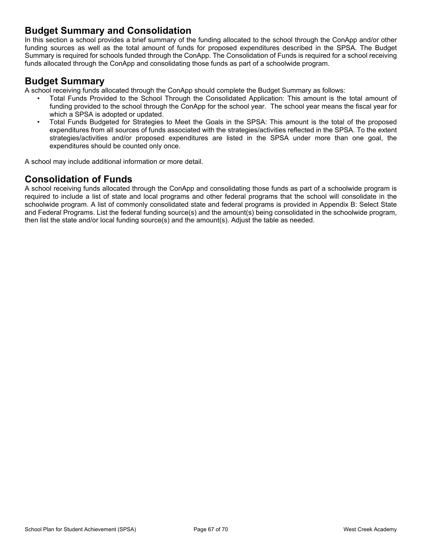### **Budget Summary and Consolidation**

In this section a school provides a brief summary of the funding allocated to the school through the ConApp and/or other funding sources as well as the total amount of funds for proposed expenditures described in the SPSA. The Budget Summary is required for schools funded through the ConApp. The Consolidation of Funds is required for a school receiving funds allocated through the ConApp and consolidating those funds as part of a schoolwide program.

### **Budget Summary**

A school receiving funds allocated through the ConApp should complete the Budget Summary as follows:

- Total Funds Provided to the School Through the Consolidated Application: This amount is the total amount of funding provided to the school through the ConApp for the school year. The school year means the fiscal year for which a SPSA is adopted or updated.
- Total Funds Budgeted for Strategies to Meet the Goals in the SPSA: This amount is the total of the proposed expenditures from all sources of funds associated with the strategies/activities reflected in the SPSA. To the extent strategies/activities and/or proposed expenditures are listed in the SPSA under more than one goal, the expenditures should be counted only once.

A school may include additional information or more detail.

## **Consolidation of Funds**

A school receiving funds allocated through the ConApp and consolidating those funds as part of a schoolwide program is required to include a list of state and local programs and other federal programs that the school will consolidate in the schoolwide program. A list of commonly consolidated state and federal programs is provided in Appendix B: Select State and Federal Programs. List the federal funding source(s) and the amount(s) being consolidated in the schoolwide program, then list the state and/or local funding source(s) and the amount(s). Adjust the table as needed.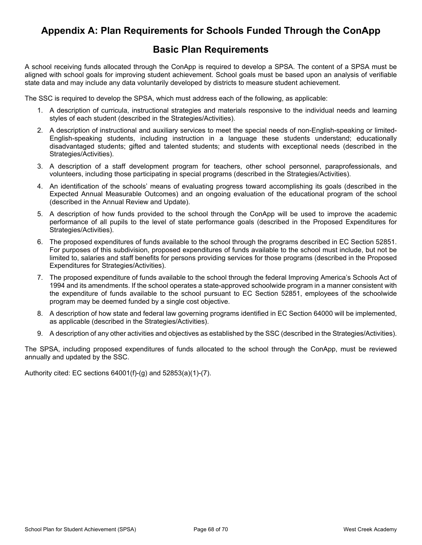## <span id="page-66-0"></span>**Appendix A: Plan Requirements for Schools Funded Through the ConApp**

### **Basic Plan Requirements**

A school receiving funds allocated through the ConApp is required to develop a SPSA. The content of a SPSA must be aligned with school goals for improving student achievement. School goals must be based upon an analysis of verifiable state data and may include any data voluntarily developed by districts to measure student achievement.

The SSC is required to develop the SPSA, which must address each of the following, as applicable:

- 1. A description of curricula, instructional strategies and materials responsive to the individual needs and learning styles of each student (described in the Strategies/Activities).
- 2. A description of instructional and auxiliary services to meet the special needs of non-English-speaking or limited-English-speaking students, including instruction in a language these students understand; educationally disadvantaged students; gifted and talented students; and students with exceptional needs (described in the Strategies/Activities).
- 3. A description of a staff development program for teachers, other school personnel, paraprofessionals, and volunteers, including those participating in special programs (described in the Strategies/Activities).
- 4. An identification of the schools' means of evaluating progress toward accomplishing its goals (described in the Expected Annual Measurable Outcomes) and an ongoing evaluation of the educational program of the school (described in the Annual Review and Update).
- 5. A description of how funds provided to the school through the ConApp will be used to improve the academic performance of all pupils to the level of state performance goals (described in the Proposed Expenditures for Strategies/Activities).
- 6. The proposed expenditures of funds available to the school through the programs described in EC Section 52851. For purposes of this subdivision, proposed expenditures of funds available to the school must include, but not be limited to, salaries and staff benefits for persons providing services for those programs (described in the Proposed Expenditures for Strategies/Activities).
- 7. The proposed expenditure of funds available to the school through the federal Improving America's Schools Act of 1994 and its amendments. If the school operates a state-approved schoolwide program in a manner consistent with the expenditure of funds available to the school pursuant to EC Section 52851, employees of the schoolwide program may be deemed funded by a single cost objective.
- 8. A description of how state and federal law governing programs identified in EC Section 64000 will be implemented, as applicable (described in the Strategies/Activities).
- 9. A description of any other activities and objectives as established by the SSC (described in the Strategies/Activities).

The SPSA, including proposed expenditures of funds allocated to the school through the ConApp, must be reviewed annually and updated by the SSC.

Authority cited: EC sections 64001(f)-(g) and 52853(a)(1)-(7).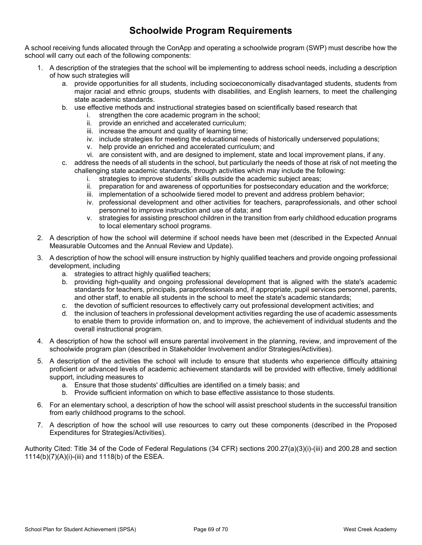## **Schoolwide Program Requirements**

A school receiving funds allocated through the ConApp and operating a schoolwide program (SWP) must describe how the school will carry out each of the following components:

- 1. A description of the strategies that the school will be implementing to address school needs, including a description of how such strategies will
	- a. provide opportunities for all students, including socioeconomically disadvantaged students, students from major racial and ethnic groups, students with disabilities, and English learners, to meet the challenging state academic standards.
	- b. use effective methods and instructional strategies based on scientifically based research that
		- i. strengthen the core academic program in the school;
		- ii. provide an enriched and accelerated curriculum;
		- iii. increase the amount and quality of learning time;
		- iv. include strategies for meeting the educational needs of historically underserved populations;
		- v. help provide an enriched and accelerated curriculum; and
		- vi. are consistent with, and are designed to implement, state and local improvement plans, if any.
	- c. address the needs of all students in the school, but particularly the needs of those at risk of not meeting the challenging state academic standards, through activities which may include the following:
		- i. strategies to improve students' skills outside the academic subject areas;
		- ii. preparation for and awareness of opportunities for postsecondary education and the workforce;
		- iii. implementation of a schoolwide tiered model to prevent and address problem behavior;
		- iv. professional development and other activities for teachers, paraprofessionals, and other school personnel to improve instruction and use of data; and
		- v. strategies for assisting preschool children in the transition from early childhood education programs to local elementary school programs.
- 2. A description of how the school will determine if school needs have been met (described in the Expected Annual Measurable Outcomes and the Annual Review and Update).
- 3. A description of how the school will ensure instruction by highly qualified teachers and provide ongoing professional development, including
	- a. strategies to attract highly qualified teachers;
	- b. providing high-quality and ongoing professional development that is aligned with the state's academic standards for teachers, principals, paraprofessionals and, if appropriate, pupil services personnel, parents, and other staff, to enable all students in the school to meet the state's academic standards;
	- c. the devotion of sufficient resources to effectively carry out professional development activities; and
	- d. the inclusion of teachers in professional development activities regarding the use of academic assessments to enable them to provide information on, and to improve, the achievement of individual students and the overall instructional program.
- 4. A description of how the school will ensure parental involvement in the planning, review, and improvement of the schoolwide program plan (described in Stakeholder Involvement and/or Strategies/Activities).
- 5. A description of the activities the school will include to ensure that students who experience difficulty attaining proficient or advanced levels of academic achievement standards will be provided with effective, timely additional support, including measures to
	- a. Ensure that those students' difficulties are identified on a timely basis; and
	- b. Provide sufficient information on which to base effective assistance to those students.
- 6. For an elementary school, a description of how the school will assist preschool students in the successful transition from early childhood programs to the school.
- 7. A description of how the school will use resources to carry out these components (described in the Proposed Expenditures for Strategies/Activities).

Authority Cited: Title 34 of the Code of Federal Regulations (34 CFR) sections 200.27(a)(3)(i)-(iii) and 200.28 and section 1114(b)(7)(A)(i)-(iii) and 1118(b) of the ESEA.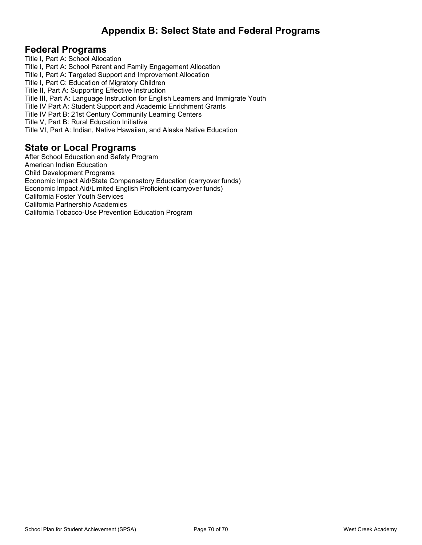## <span id="page-68-0"></span>**Appendix B: Select State and Federal Programs**

### **Federal Programs**

Title I, Part A: School Allocation Title I, Part A: School Parent and Family Engagement Allocation Title I, Part A: Targeted Support and Improvement Allocation Title I, Part C: Education of Migratory Children Title II, Part A: Supporting Effective Instruction Title III, Part A: Language Instruction for English Learners and Immigrate Youth Title IV Part A: Student Support and Academic Enrichment Grants Title IV Part B: 21st Century Community Learning Centers Title V, Part B: Rural Education Initiative Title VI, Part A: Indian, Native Hawaiian, and Alaska Native Education

### **State or Local Programs**

After School Education and Safety Program American Indian Education Child Development Programs Economic Impact Aid/State Compensatory Education (carryover funds) Economic Impact Aid/Limited English Proficient (carryover funds) California Foster Youth Services California Partnership Academies California Tobacco-Use Prevention Education Program